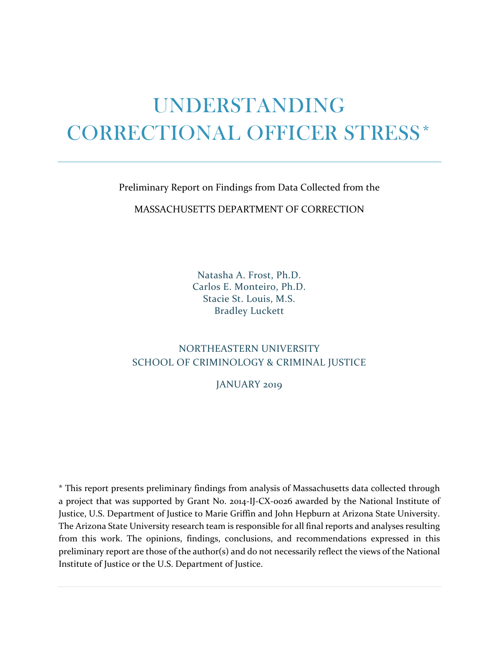# UNDERSTANDING CORRECTIONAL OFFICER STRESS\*

Preliminary Report on Findings from Data Collected from the

MASSACHUSETTS DEPARTMENT OF CORRECTION

Natasha A. Frost, Ph.D. Carlos E. Monteiro, Ph.D. Stacie St. Louis, M.S. Bradley Luckett

## NORTHEASTERN UNIVERSITY SCHOOL OF CRIMINOLOGY & CRIMINAL JUSTICE

JANUARY 2019

\* This report presents preliminary findings from analysis of Massachusetts data collected through a project that was supported by Grant No. 2014-IJ-CX-0026 awarded by the National Institute of Justice, U.S. Department of Justice to Marie Griffin and John Hepburn at Arizona State University. The Arizona State University research team is responsible for all final reports and analyses resulting from this work. The opinions, findings, conclusions, and recommendations expressed in this preliminary report are those of the author(s) and do not necessarily reflect the views of the National Institute of Justice or the U.S. Department of Justice.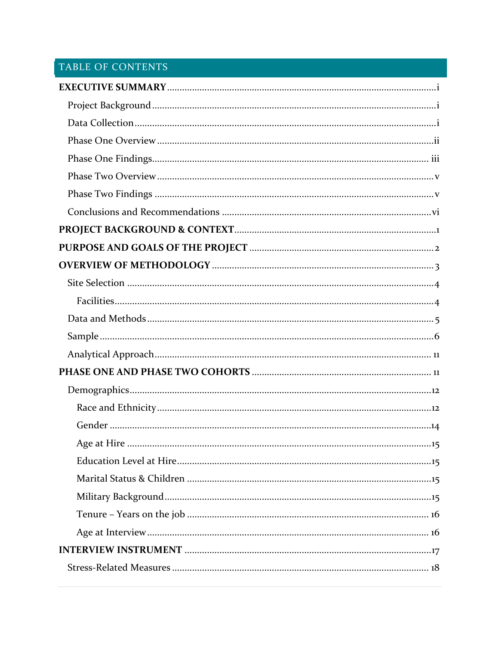# TABLE OF CONTENTS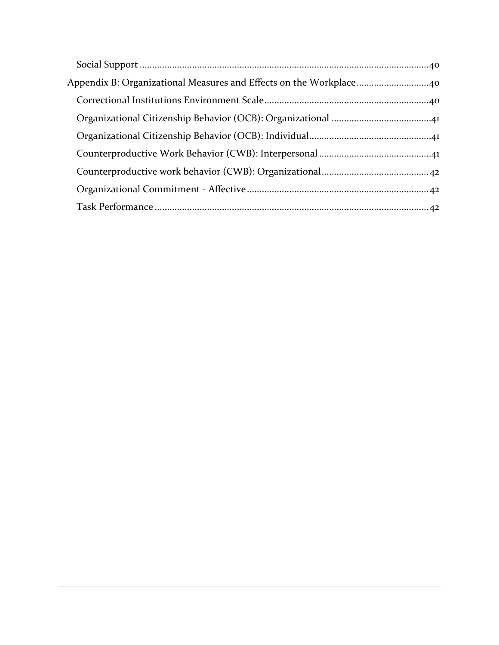| Appendix B: Organizational Measures and Effects on the Workplace40 |
|--------------------------------------------------------------------|
|                                                                    |
|                                                                    |
|                                                                    |
|                                                                    |
|                                                                    |
|                                                                    |
|                                                                    |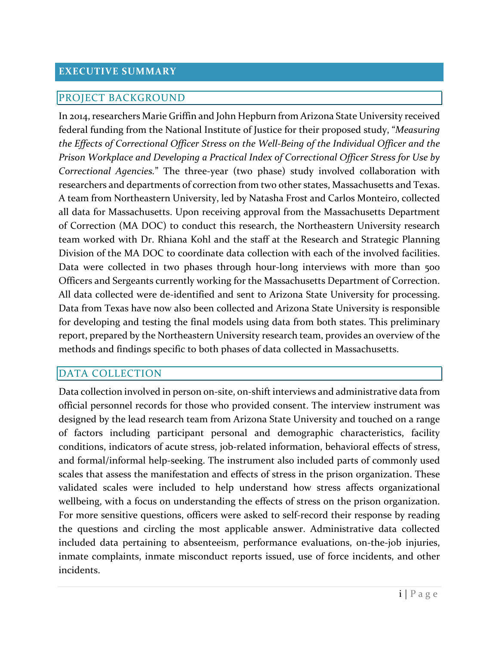#### <span id="page-4-0"></span>**EXECUTIVE SUMMARY**

#### <span id="page-4-1"></span>PROJECT BACKGROUND

In 2014, researchers Marie Griffin and John Hepburn from Arizona State University received federal funding from the National Institute of Justice for their proposed study, "*Measuring the Effects of Correctional Officer Stress on the Well-Being of the Individual Officer and the Prison Workplace and Developing a Practical Index of Correctional Officer Stress for Use by Correctional Agencies.*" The three-year (two phase) study involved collaboration with researchers and departments of correction from two other states, Massachusetts and Texas. A team from Northeastern University, led by Natasha Frost and Carlos Monteiro, collected all data for Massachusetts. Upon receiving approval from the Massachusetts Department of Correction (MA DOC) to conduct this research, the Northeastern University research team worked with Dr. Rhiana Kohl and the staff at the Research and Strategic Planning Division of the MA DOC to coordinate data collection with each of the involved facilities. Data were collected in two phases through hour-long interviews with more than 500 Officers and Sergeants currently working for the Massachusetts Department of Correction. All data collected were de-identified and sent to Arizona State University for processing. Data from Texas have now also been collected and Arizona State University is responsible for developing and testing the final models using data from both states. This preliminary report, prepared by the Northeastern University research team, provides an overview of the methods and findings specific to both phases of data collected in Massachusetts.

#### <span id="page-4-2"></span>DATA COLLECTION

Data collection involved in person on-site, on-shift interviews and administrative data from official personnel records for those who provided consent. The interview instrument was designed by the lead research team from Arizona State University and touched on a range of factors including participant personal and demographic characteristics, facility conditions, indicators of acute stress, job-related information, behavioral effects of stress, and formal/informal help-seeking. The instrument also included parts of commonly used scales that assess the manifestation and effects of stress in the prison organization. These validated scales were included to help understand how stress affects organizational wellbeing, with a focus on understanding the effects of stress on the prison organization. For more sensitive questions, officers were asked to self-record their response by reading the questions and circling the most applicable answer. Administrative data collected included data pertaining to absenteeism, performance evaluations, on-the-job injuries, inmate complaints, inmate misconduct reports issued, use of force incidents, and other incidents.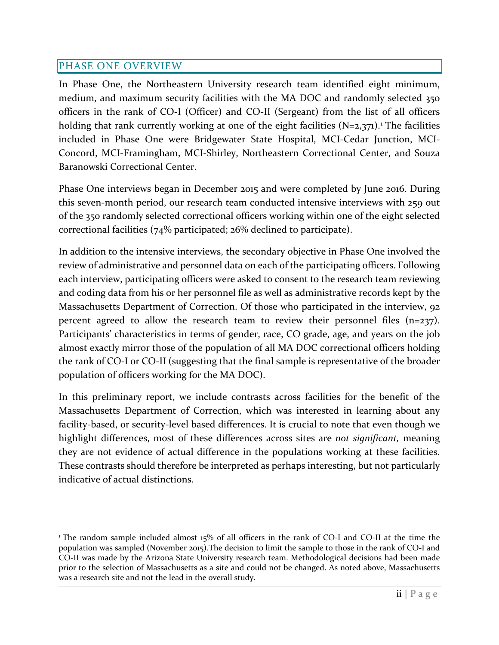## <span id="page-5-0"></span>PHASE ONE OVERVIEW

In Phase One, the Northeastern University research team identified eight minimum, medium, and maximum security facilities with the MA DOC and randomly selected 350 officers in the rank of CO-I (Officer) and CO-II (Sergeant) from the list of all officers holding that rank currently working at one of the eight facilities (N=2,37[1](#page-5-1)).<sup>1</sup> The facilities included in Phase One were Bridgewater State Hospital, MCI-Cedar Junction, MCI-Concord, MCI-Framingham, MCI-Shirley, Northeastern Correctional Center, and Souza Baranowski Correctional Center.

Phase One interviews began in December 2015 and were completed by June 2016. During this seven-month period, our research team conducted intensive interviews with 259 out of the 350 randomly selected correctional officers working within one of the eight selected correctional facilities (74% participated; 26% declined to participate).

In addition to the intensive interviews, the secondary objective in Phase One involved the review of administrative and personnel data on each of the participating officers. Following each interview, participating officers were asked to consent to the research team reviewing and coding data from his or her personnel file as well as administrative records kept by the Massachusetts Department of Correction. Of those who participated in the interview, 92 percent agreed to allow the research team to review their personnel files (n=237). Participants' characteristics in terms of gender, race, CO grade, age, and years on the job almost exactly mirror those of the population of all MA DOC correctional officers holding the rank of CO-I or CO-II (suggesting that the final sample is representative of the broader population of officers working for the MA DOC).

In this preliminary report, we include contrasts across facilities for the benefit of the Massachusetts Department of Correction, which was interested in learning about any facility-based, or security-level based differences. It is crucial to note that even though we highlight differences, most of these differences across sites are *not significant,* meaning they are not evidence of actual difference in the populations working at these facilities. These contrasts should therefore be interpreted as perhaps interesting, but not particularly indicative of actual distinctions.

<span id="page-5-1"></span><sup>&</sup>lt;sup>1</sup> The random sample included almost 15% of all officers in the rank of CO-I and CO-II at the time the population was sampled (November 2015).The decision to limit the sample to those in the rank of CO-I and CO-II was made by the Arizona State University research team. Methodological decisions had been made prior to the selection of Massachusetts as a site and could not be changed. As noted above, Massachusetts was a research site and not the lead in the overall study.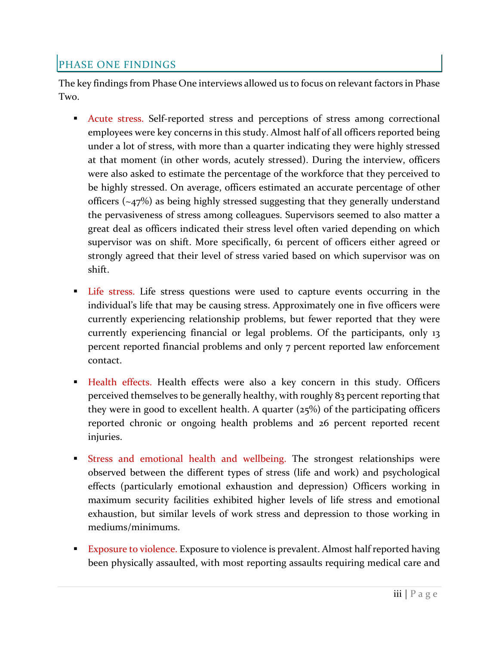## <span id="page-6-0"></span>PHASE ONE FINDINGS

The key findings from Phase One interviews allowed us to focus on relevant factors in Phase Two.

- Acute stress. Self-reported stress and perceptions of stress among correctional employees were key concerns in this study. Almost half of all officers reported being under a lot of stress, with more than a quarter indicating they were highly stressed at that moment (in other words, acutely stressed). During the interview, officers were also asked to estimate the percentage of the workforce that they perceived to be highly stressed. On average, officers estimated an accurate percentage of other officers (~47%) as being highly stressed suggesting that they generally understand the pervasiveness of stress among colleagues. Supervisors seemed to also matter a great deal as officers indicated their stress level often varied depending on which supervisor was on shift. More specifically, 61 percent of officers either agreed or strongly agreed that their level of stress varied based on which supervisor was on shift.
- Life stress. Life stress questions were used to capture events occurring in the individual's life that may be causing stress. Approximately one in five officers were currently experiencing relationship problems, but fewer reported that they were currently experiencing financial or legal problems. Of the participants, only 13 percent reported financial problems and only 7 percent reported law enforcement contact.
- Health effects. Health effects were also a key concern in this study. Officers perceived themselves to be generally healthy, with roughly 83 percent reporting that they were in good to excellent health. A quarter  $(25%)$  of the participating officers reported chronic or ongoing health problems and 26 percent reported recent injuries.
- Stress and emotional health and wellbeing. The strongest relationships were observed between the different types of stress (life and work) and psychological effects (particularly emotional exhaustion and depression) Officers working in maximum security facilities exhibited higher levels of life stress and emotional exhaustion, but similar levels of work stress and depression to those working in mediums/minimums.
- **Exposure to violence.** Exposure to violence is prevalent. Almost half reported having been physically assaulted, with most reporting assaults requiring medical care and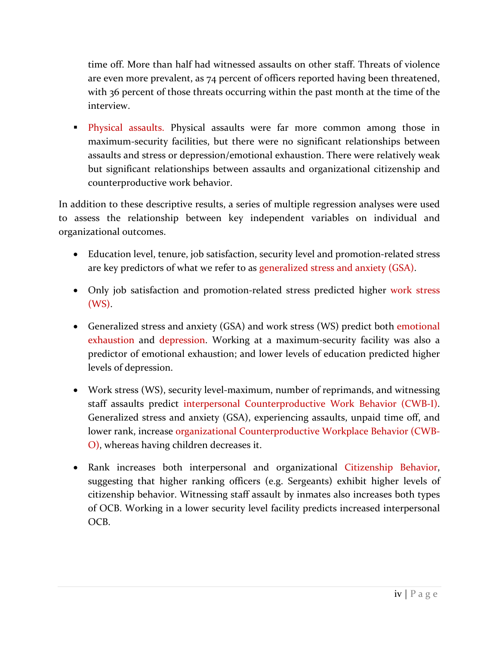time off. More than half had witnessed assaults on other staff. Threats of violence are even more prevalent, as 74 percent of officers reported having been threatened, with 36 percent of those threats occurring within the past month at the time of the interview.

**Physical assaults.** Physical assaults were far more common among those in maximum-security facilities, but there were no significant relationships between assaults and stress or depression/emotional exhaustion. There were relatively weak but significant relationships between assaults and organizational citizenship and counterproductive work behavior.

In addition to these descriptive results, a series of multiple regression analyses were used to assess the relationship between key independent variables on individual and organizational outcomes.

- Education level, tenure, job satisfaction, security level and promotion-related stress are key predictors of what we refer to as generalized stress and anxiety (GSA).
- Only job satisfaction and promotion-related stress predicted higher work stress (WS).
- Generalized stress and anxiety (GSA) and work stress (WS) predict both emotional exhaustion and depression. Working at a maximum-security facility was also a predictor of emotional exhaustion; and lower levels of education predicted higher levels of depression.
- Work stress (WS), security level-maximum, number of reprimands, and witnessing staff assaults predict interpersonal Counterproductive Work Behavior (CWB-I). Generalized stress and anxiety (GSA), experiencing assaults, unpaid time off, and lower rank, increase organizational Counterproductive Workplace Behavior (CWB-O), whereas having children decreases it.
- Rank increases both interpersonal and organizational Citizenship Behavior, suggesting that higher ranking officers (e.g. Sergeants) exhibit higher levels of citizenship behavior. Witnessing staff assault by inmates also increases both types of OCB. Working in a lower security level facility predicts increased interpersonal OCB.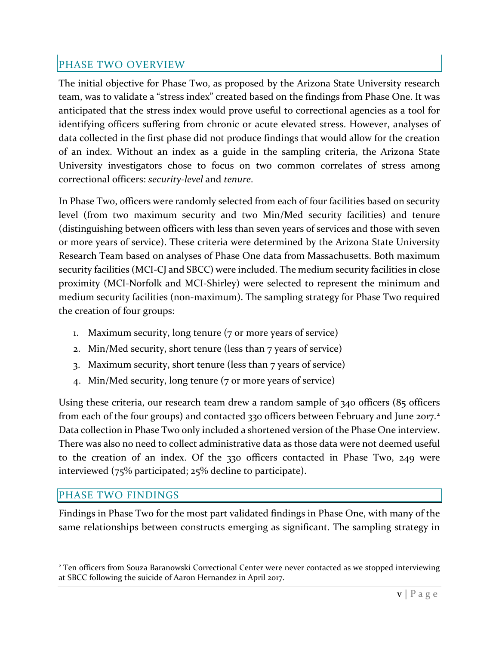## <span id="page-8-0"></span>PHASE TWO OVERVIEW

The initial objective for Phase Two, as proposed by the Arizona State University research team, was to validate a "stress index" created based on the findings from Phase One. It was anticipated that the stress index would prove useful to correctional agencies as a tool for identifying officers suffering from chronic or acute elevated stress. However, analyses of data collected in the first phase did not produce findings that would allow for the creation of an index. Without an index as a guide in the sampling criteria, the Arizona State University investigators chose to focus on two common correlates of stress among correctional officers: *security-level* and *tenure*.

In Phase Two, officers were randomly selected from each of four facilities based on security level (from two maximum security and two Min/Med security facilities) and tenure (distinguishing between officers with less than seven years of services and those with seven or more years of service). These criteria were determined by the Arizona State University Research Team based on analyses of Phase One data from Massachusetts. Both maximum security facilities (MCI-CJ and SBCC) were included. The medium security facilities in close proximity (MCI-Norfolk and MCI-Shirley) were selected to represent the minimum and medium security facilities (non-maximum). The sampling strategy for Phase Two required the creation of four groups:

- 1. Maximum security, long tenure (7 or more years of service)
- 2. Min/Med security, short tenure (less than 7 years of service)
- 3. Maximum security, short tenure (less than 7 years of service)
- 4. Min/Med security, long tenure (7 or more years of service)

Using these criteria, our research team drew a random sample of 340 officers (85 officers from each of the four groups) and contacted 330 officers between February and June [2](#page-8-2)017.<sup>2</sup> Data collection in Phase Two only included a shortened version of the Phase One interview. There was also no need to collect administrative data as those data were not deemed useful to the creation of an index. Of the 330 officers contacted in Phase Two, 249 were interviewed (75% participated; 25% decline to participate).

## <span id="page-8-1"></span>PHASE TWO FINDINGS

Findings in Phase Two for the most part validated findings in Phase One, with many of the same relationships between constructs emerging as significant. The sampling strategy in

<span id="page-8-2"></span><sup>&</sup>lt;sup>2</sup> Ten officers from Souza Baranowski Correctional Center were never contacted as we stopped interviewing at SBCC following the suicide of Aaron Hernandez in April 2017.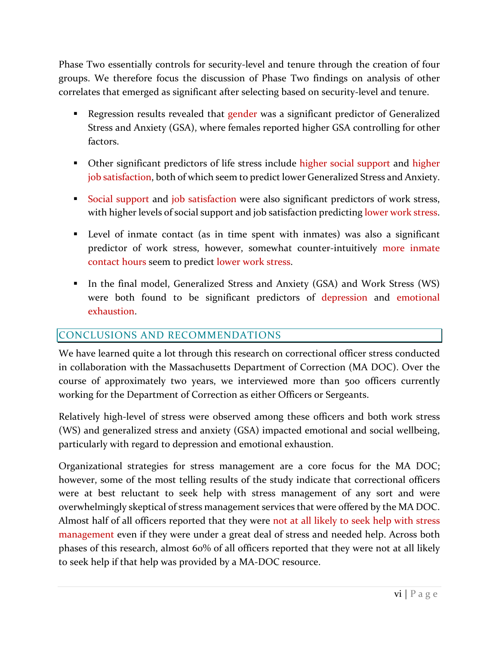Phase Two essentially controls for security-level and tenure through the creation of four groups. We therefore focus the discussion of Phase Two findings on analysis of other correlates that emerged as significant after selecting based on security-level and tenure.

- Regression results revealed that gender was a significant predictor of Generalized Stress and Anxiety (GSA), where females reported higher GSA controlling for other factors.
- Other significant predictors of life stress include higher social support and higher job satisfaction, both of which seem to predict lower Generalized Stress and Anxiety.
- Social support and job satisfaction were also significant predictors of work stress, with higher levels of social support and job satisfaction predicting lower work stress.
- Level of inmate contact (as in time spent with inmates) was also a significant predictor of work stress, however, somewhat counter-intuitively more inmate contact hours seem to predict lower work stress.
- In the final model, Generalized Stress and Anxiety (GSA) and Work Stress (WS) were both found to be significant predictors of depression and emotional exhaustion.

## <span id="page-9-0"></span>CONCLUSIONS AND RECOMMENDATIONS

We have learned quite a lot through this research on correctional officer stress conducted in collaboration with the Massachusetts Department of Correction (MA DOC). Over the course of approximately two years, we interviewed more than 500 officers currently working for the Department of Correction as either Officers or Sergeants.

Relatively high-level of stress were observed among these officers and both work stress (WS) and generalized stress and anxiety (GSA) impacted emotional and social wellbeing, particularly with regard to depression and emotional exhaustion.

Organizational strategies for stress management are a core focus for the MA DOC; however, some of the most telling results of the study indicate that correctional officers were at best reluctant to seek help with stress management of any sort and were overwhelmingly skeptical of stress management services that were offered by the MA DOC. Almost half of all officers reported that they were not at all likely to seek help with stress management even if they were under a great deal of stress and needed help. Across both phases of this research, almost 60% of all officers reported that they were not at all likely to seek help if that help was provided by a MA-DOC resource.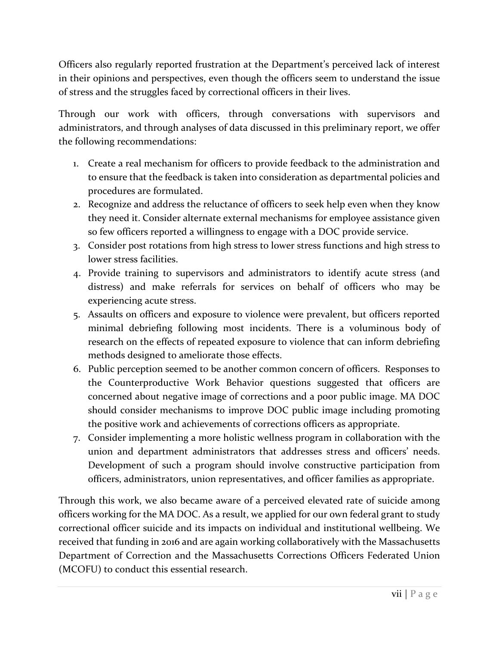Officers also regularly reported frustration at the Department's perceived lack of interest in their opinions and perspectives, even though the officers seem to understand the issue of stress and the struggles faced by correctional officers in their lives.

Through our work with officers, through conversations with supervisors and administrators, and through analyses of data discussed in this preliminary report, we offer the following recommendations:

- 1. Create a real mechanism for officers to provide feedback to the administration and to ensure that the feedback is taken into consideration as departmental policies and procedures are formulated.
- 2. Recognize and address the reluctance of officers to seek help even when they know they need it. Consider alternate external mechanisms for employee assistance given so few officers reported a willingness to engage with a DOC provide service.
- 3. Consider post rotations from high stress to lower stress functions and high stress to lower stress facilities.
- 4. Provide training to supervisors and administrators to identify acute stress (and distress) and make referrals for services on behalf of officers who may be experiencing acute stress.
- 5. Assaults on officers and exposure to violence were prevalent, but officers reported minimal debriefing following most incidents. There is a voluminous body of research on the effects of repeated exposure to violence that can inform debriefing methods designed to ameliorate those effects.
- 6. Public perception seemed to be another common concern of officers. Responses to the Counterproductive Work Behavior questions suggested that officers are concerned about negative image of corrections and a poor public image. MA DOC should consider mechanisms to improve DOC public image including promoting the positive work and achievements of corrections officers as appropriate.
- 7. Consider implementing a more holistic wellness program in collaboration with the union and department administrators that addresses stress and officers' needs. Development of such a program should involve constructive participation from officers, administrators, union representatives, and officer families as appropriate.

Through this work, we also became aware of a perceived elevated rate of suicide among officers working for the MA DOC. As a result, we applied for our own federal grant to study correctional officer suicide and its impacts on individual and institutional wellbeing. We received that funding in 2016 and are again working collaboratively with the Massachusetts Department of Correction and the Massachusetts Corrections Officers Federated Union (MCOFU) to conduct this essential research.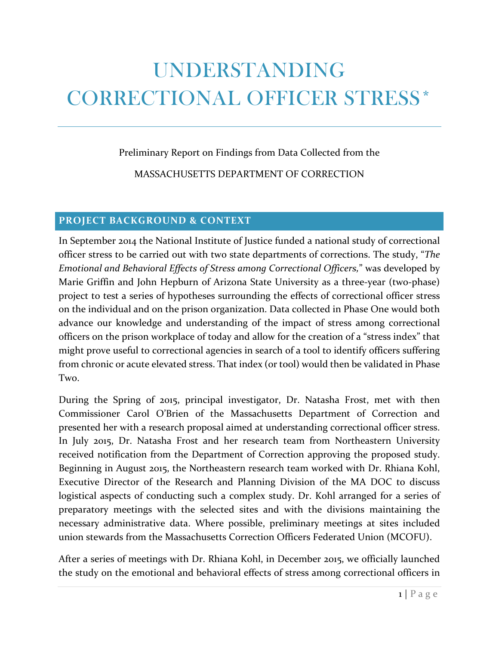# UNDERSTANDING CORRECTIONAL OFFICER STRESS\*

#### Preliminary Report on Findings from Data Collected from the

MASSACHUSETTS DEPARTMENT OF CORRECTION

#### <span id="page-11-0"></span>**PROJECT BACKGROUND & CONTEXT**

In September 2014 the National Institute of Justice funded a national study of correctional officer stress to be carried out with two state departments of corrections. The study, "*The Emotional and Behavioral Effects of Stress among Correctional Officers,*" was developed by Marie Griffin and John Hepburn of Arizona State University as a three-year (two-phase) project to test a series of hypotheses surrounding the effects of correctional officer stress on the individual and on the prison organization. Data collected in Phase One would both advance our knowledge and understanding of the impact of stress among correctional officers on the prison workplace of today and allow for the creation of a "stress index" that might prove useful to correctional agencies in search of a tool to identify officers suffering from chronic or acute elevated stress. That index (or tool) would then be validated in Phase Two.

During the Spring of 2015, principal investigator, Dr. Natasha Frost, met with then Commissioner Carol O'Brien of the Massachusetts Department of Correction and presented her with a research proposal aimed at understanding correctional officer stress. In July 2015, Dr. Natasha Frost and her research team from Northeastern University received notification from the Department of Correction approving the proposed study. Beginning in August 2015, the Northeastern research team worked with Dr. Rhiana Kohl, Executive Director of the Research and Planning Division of the MA DOC to discuss logistical aspects of conducting such a complex study. Dr. Kohl arranged for a series of preparatory meetings with the selected sites and with the divisions maintaining the necessary administrative data. Where possible, preliminary meetings at sites included union stewards from the Massachusetts Correction Officers Federated Union (MCOFU).

After a series of meetings with Dr. Rhiana Kohl, in December 2015, we officially launched the study on the emotional and behavioral effects of stress among correctional officers in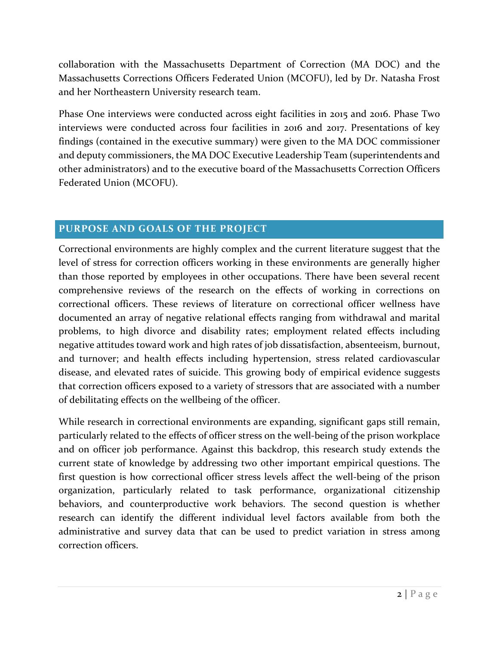collaboration with the Massachusetts Department of Correction (MA DOC) and the Massachusetts Corrections Officers Federated Union (MCOFU), led by Dr. Natasha Frost and her Northeastern University research team.

Phase One interviews were conducted across eight facilities in 2015 and 2016. Phase Two interviews were conducted across four facilities in 2016 and 2017. Presentations of key findings (contained in the executive summary) were given to the MA DOC commissioner and deputy commissioners, the MA DOC Executive Leadership Team (superintendents and other administrators) and to the executive board of the Massachusetts Correction Officers Federated Union (MCOFU).

## <span id="page-12-0"></span>**PURPOSE AND GOALS OF THE PROJECT**

Correctional environments are highly complex and the current literature suggest that the level of stress for correction officers working in these environments are generally higher than those reported by employees in other occupations. There have been several recent comprehensive reviews of the research on the effects of working in corrections on correctional officers. These reviews of literature on correctional officer wellness have documented an array of negative relational effects ranging from withdrawal and marital problems, to high divorce and disability rates; employment related effects including negative attitudes toward work and high rates of job dissatisfaction, absenteeism, burnout, and turnover; and health effects including hypertension, stress related cardiovascular disease, and elevated rates of suicide. This growing body of empirical evidence suggests that correction officers exposed to a variety of stressors that are associated with a number of debilitating effects on the wellbeing of the officer.

While research in correctional environments are expanding, significant gaps still remain, particularly related to the effects of officer stress on the well-being of the prison workplace and on officer job performance. Against this backdrop, this research study extends the current state of knowledge by addressing two other important empirical questions. The first question is how correctional officer stress levels affect the well-being of the prison organization, particularly related to task performance, organizational citizenship behaviors, and counterproductive work behaviors. The second question is whether research can identify the different individual level factors available from both the administrative and survey data that can be used to predict variation in stress among correction officers.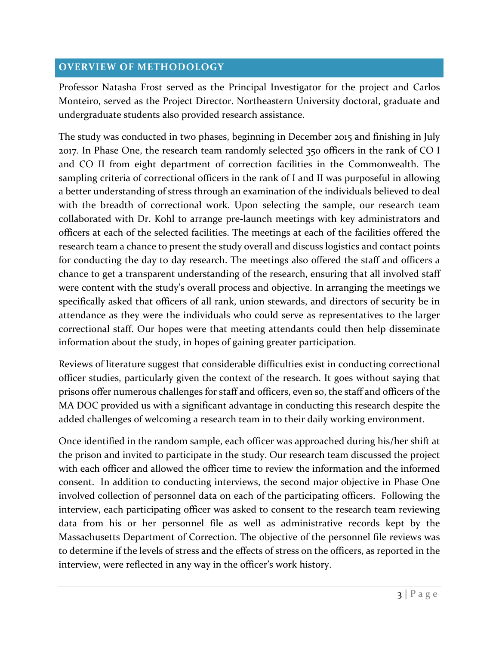### <span id="page-13-0"></span>**OVERVIEW OF METHODOLOGY**

Professor Natasha Frost served as the Principal Investigator for the project and Carlos Monteiro, served as the Project Director. Northeastern University doctoral, graduate and undergraduate students also provided research assistance.

The study was conducted in two phases, beginning in December 2015 and finishing in July 2017. In Phase One, the research team randomly selected 350 officers in the rank of CO I and CO II from eight department of correction facilities in the Commonwealth. The sampling criteria of correctional officers in the rank of I and II was purposeful in allowing a better understanding of stress through an examination of the individuals believed to deal with the breadth of correctional work. Upon selecting the sample, our research team collaborated with Dr. Kohl to arrange pre-launch meetings with key administrators and officers at each of the selected facilities. The meetings at each of the facilities offered the research team a chance to present the study overall and discuss logistics and contact points for conducting the day to day research. The meetings also offered the staff and officers a chance to get a transparent understanding of the research, ensuring that all involved staff were content with the study's overall process and objective. In arranging the meetings we specifically asked that officers of all rank, union stewards, and directors of security be in attendance as they were the individuals who could serve as representatives to the larger correctional staff. Our hopes were that meeting attendants could then help disseminate information about the study, in hopes of gaining greater participation.

Reviews of literature suggest that considerable difficulties exist in conducting correctional officer studies, particularly given the context of the research. It goes without saying that prisons offer numerous challenges for staff and officers, even so, the staff and officers of the MA DOC provided us with a significant advantage in conducting this research despite the added challenges of welcoming a research team in to their daily working environment.

Once identified in the random sample, each officer was approached during his/her shift at the prison and invited to participate in the study. Our research team discussed the project with each officer and allowed the officer time to review the information and the informed consent. In addition to conducting interviews, the second major objective in Phase One involved collection of personnel data on each of the participating officers. Following the interview, each participating officer was asked to consent to the research team reviewing data from his or her personnel file as well as administrative records kept by the Massachusetts Department of Correction. The objective of the personnel file reviews was to determine if the levels of stress and the effects of stress on the officers, as reported in the interview, were reflected in any way in the officer's work history.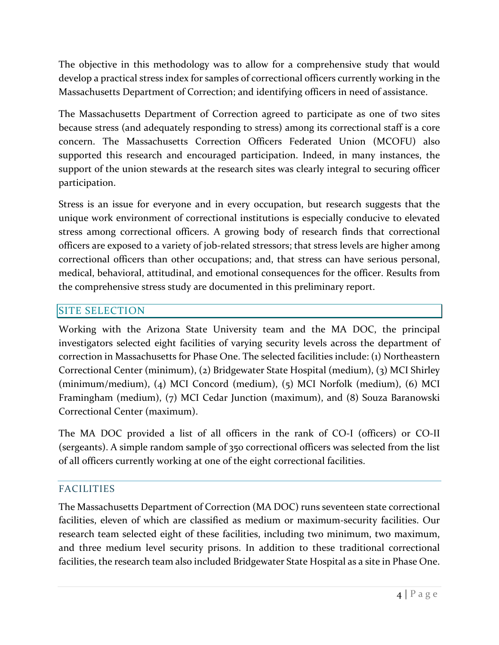The objective in this methodology was to allow for a comprehensive study that would develop a practical stress index for samples of correctional officers currently working in the Massachusetts Department of Correction; and identifying officers in need of assistance.

The Massachusetts Department of Correction agreed to participate as one of two sites because stress (and adequately responding to stress) among its correctional staff is a core concern. The Massachusetts Correction Officers Federated Union (MCOFU) also supported this research and encouraged participation. Indeed, in many instances, the support of the union stewards at the research sites was clearly integral to securing officer participation.

Stress is an issue for everyone and in every occupation, but research suggests that the unique work environment of correctional institutions is especially conducive to elevated stress among correctional officers. A growing body of research finds that correctional officers are exposed to a variety of job-related stressors; that stress levels are higher among correctional officers than other occupations; and, that stress can have serious personal, medical, behavioral, attitudinal, and emotional consequences for the officer. Results from the comprehensive stress study are documented in this preliminary report.

## <span id="page-14-0"></span>SITE SELECTION

Working with the Arizona State University team and the MA DOC, the principal investigators selected eight facilities of varying security levels across the department of correction in Massachusetts for Phase One. The selected facilities include: (1) Northeastern Correctional Center (minimum), (2) Bridgewater State Hospital (medium), (3) MCI Shirley (minimum/medium), (4) MCI Concord (medium), (5) MCI Norfolk (medium), (6) MCI Framingham (medium), (7) MCI Cedar Junction (maximum), and (8) Souza Baranowski Correctional Center (maximum).

The MA DOC provided a list of all officers in the rank of CO-I (officers) or CO-II (sergeants). A simple random sample of 350 correctional officers was selected from the list of all officers currently working at one of the eight correctional facilities.

## <span id="page-14-1"></span>FACILITIES

The Massachusetts Department of Correction (MA DOC) runs seventeen state correctional facilities, eleven of which are classified as medium or maximum-security facilities. Our research team selected eight of these facilities, including two minimum, two maximum, and three medium level security prisons. In addition to these traditional correctional facilities, the research team also included Bridgewater State Hospital as a site in Phase One.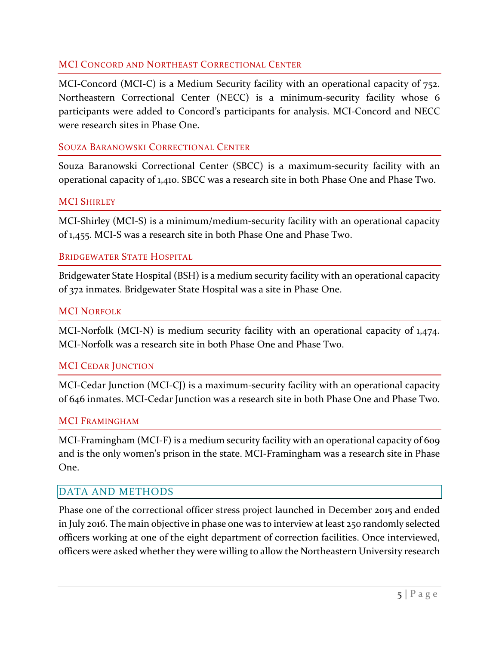#### MCI CONCORD AND NORTHEAST CORRECTIONAL CENTER

MCI-Concord (MCI-C) is a Medium Security facility with an operational capacity of 752. Northeastern Correctional Center (NECC) is a minimum-security facility whose 6 participants were added to Concord's participants for analysis. MCI-Concord and NECC were research sites in Phase One.

#### SOUZA BARANOWSKI CORRECTIONAL CENTER

Souza Baranowski Correctional Center (SBCC) is a maximum-security facility with an operational capacity of 1,410. SBCC was a research site in both Phase One and Phase Two.

#### **MCI SHIRLEY**

MCI-Shirley (MCI-S) is a minimum/medium-security facility with an operational capacity of 1,455. MCI-S was a research site in both Phase One and Phase Two.

#### BRIDGEWATER STATE HOSPITAL

Bridgewater State Hospital (BSH) is a medium security facility with an operational capacity of 372 inmates. Bridgewater State Hospital was a site in Phase One.

#### MCI NORFOLK

MCI-Norfolk (MCI-N) is medium security facility with an operational capacity of 1,474. MCI-Norfolk was a research site in both Phase One and Phase Two.

#### MCI CEDAR JUNCTION

MCI-Cedar Junction (MCI-CJ) is a maximum-security facility with an operational capacity of 646 inmates. MCI-Cedar Junction was a research site in both Phase One and Phase Two.

#### MCI FRAMINGHAM

MCI-Framingham (MCI-F) is a medium security facility with an operational capacity of 609 and is the only women's prison in the state. MCI-Framingham was a research site in Phase One.

#### <span id="page-15-0"></span>DATA AND METHODS

Phase one of the correctional officer stress project launched in December 2015 and ended in July 2016. The main objective in phase one was to interview at least 250 randomly selected officers working at one of the eight department of correction facilities. Once interviewed, officers were asked whether they were willing to allow the Northeastern University research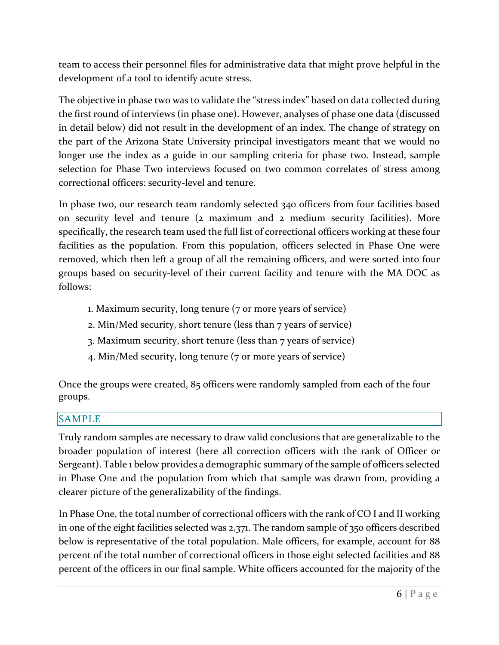team to access their personnel files for administrative data that might prove helpful in the development of a tool to identify acute stress.

The objective in phase two was to validate the "stress index" based on data collected during the first round of interviews (in phase one). However, analyses of phase one data (discussed in detail below) did not result in the development of an index. The change of strategy on the part of the Arizona State University principal investigators meant that we would no longer use the index as a guide in our sampling criteria for phase two. Instead, sample selection for Phase Two interviews focused on two common correlates of stress among correctional officers: security-level and tenure.

In phase two, our research team randomly selected 340 officers from four facilities based on security level and tenure (2 maximum and 2 medium security facilities). More specifically, the research team used the full list of correctional officers working at these four facilities as the population. From this population, officers selected in Phase One were removed, which then left a group of all the remaining officers, and were sorted into four groups based on security-level of their current facility and tenure with the MA DOC as follows:

- 1. Maximum security, long tenure (7 or more years of service)
- 2. Min/Med security, short tenure (less than 7 years of service)
- 3. Maximum security, short tenure (less than 7 years of service)
- 4. Min/Med security, long tenure (7 or more years of service)

Once the groups were created, 85 officers were randomly sampled from each of the four groups.

## <span id="page-16-0"></span>SAMPLE

Truly random samples are necessary to draw valid conclusions that are generalizable to the broader population of interest (here all correction officers with the rank of Officer or Sergeant). Table 1 below provides a demographic summary of the sample of officers selected in Phase One and the population from which that sample was drawn from, providing a clearer picture of the generalizability of the findings.

In Phase One, the total number of correctional officers with the rank of CO I and II working in one of the eight facilities selected was 2,371. The random sample of 350 officers described below is representative of the total population. Male officers, for example, account for 88 percent of the total number of correctional officers in those eight selected facilities and 88 percent of the officers in our final sample. White officers accounted for the majority of the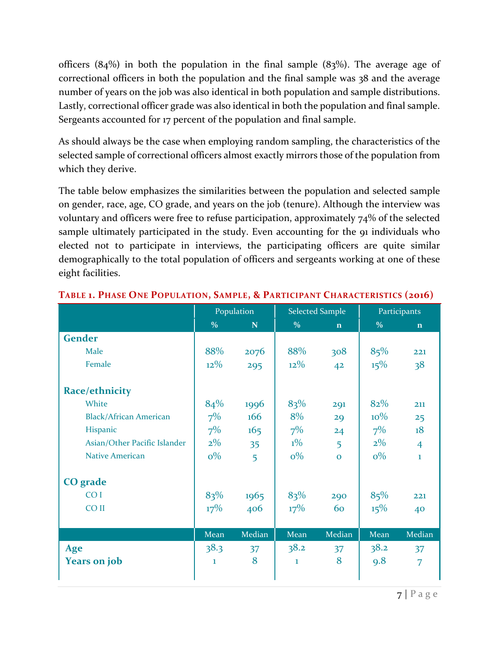officers  $(84%)$  in both the population in the final sample  $(83%)$ . The average age of correctional officers in both the population and the final sample was 38 and the average number of years on the job was also identical in both population and sample distributions. Lastly, correctional officer grade was also identical in both the population and final sample. Sergeants accounted for 17 percent of the population and final sample.

As should always be the case when employing random sampling, the characteristics of the selected sample of correctional officers almost exactly mirrors those of the population from which they derive.

The table below emphasizes the similarities between the population and selected sample on gender, race, age, CO grade, and years on the job (tenure). Although the interview was voluntary and officers were free to refuse participation, approximately 74% of the selected sample ultimately participated in the study. Even accounting for the 91 individuals who elected not to participate in interviews, the participating officers are quite similar demographically to the total population of officers and sergeants working at one of these eight facilities.

|                               |               | Population |              | <b>Selected Sample</b> | Participants |                |  |
|-------------------------------|---------------|------------|--------------|------------------------|--------------|----------------|--|
|                               | $\frac{0}{0}$ | N          | $\%$         | $\mathbf{n}$           | $\%$         | $\mathbf n$    |  |
| <b>Gender</b>                 |               |            |              |                        |              |                |  |
| Male                          | 88%           | 2076       | 88%          | 308                    | 85%          | 221            |  |
| Female                        | $12\%$        | 295        | $12\%$       | 42                     | 15%          | 38             |  |
| Race/ethnicity                |               |            |              |                        |              |                |  |
| White                         | 84%           | 1996       | 83%          | 291                    | 82%          | 211            |  |
| <b>Black/African American</b> | $7\%$         | 166        | 8%           | 29                     | $10\%$       | 25             |  |
| Hispanic                      | $7\%$         | 165        | $7\%$        | 24                     | $7\%$        | 18             |  |
| Asian/Other Pacific Islander  | $2\%$         | 35         | $1\%$        | 5                      | $2\%$        | $\overline{4}$ |  |
| <b>Native American</b>        | $o\%$         | 5          | $o\%$        | $\Omega$               | $o\%$        | $\mathbf{I}$   |  |
| <b>CO</b> grade               |               |            |              |                        |              |                |  |
| CO <sub>I</sub>               | 83%           | 1965       | 83%          | 290                    | 85%          | 221            |  |
| CO <sub>II</sub>              | $17\%$        | 406        | $17\%$       | 60                     | 15%          | 40             |  |
|                               |               |            |              |                        |              |                |  |
|                               | Mean          | Median     | Mean         | Median                 | Mean         | Median         |  |
| Age                           | 38.3          | 37         | 38.2         | 37                     | 38.2         | 37             |  |
| <b>Years on job</b>           | $\mathbf{1}$  | 8          | $\mathbf{1}$ | 8                      | 9.8          | $\overline{7}$ |  |
|                               |               |            |              |                        |              |                |  |

#### **TABLE 1. PHASE ONE POPULATION, SAMPLE, & PARTICIPANT CHARACTERISTICS (2016)**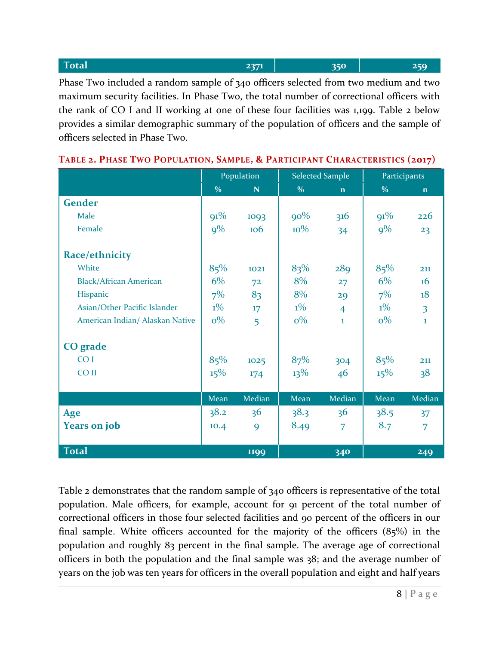| Total                                                                               | 2371 | 350 | 250 |
|-------------------------------------------------------------------------------------|------|-----|-----|
| Phase Two included a random sample of 340 officers selected from two medium and two |      |     |     |

maximum security facilities. In Phase Two, the total number of correctional officers with the rank of CO I and II working at one of these four facilities was 1,199. Table 2 below provides a similar demographic summary of the population of officers and the sample of officers selected in Phase Two.

|                                 |               | Population     |               | <b>Selected Sample</b> | Participants  |                |  |
|---------------------------------|---------------|----------------|---------------|------------------------|---------------|----------------|--|
|                                 | $\frac{0}{0}$ | $\mathbf N$    | $\frac{0}{0}$ | $\mathbf n$            | $\frac{0}{0}$ | $\mathbf n$    |  |
| <b>Gender</b>                   |               |                |               |                        |               |                |  |
| Male                            | 91%           | 1093           | $90\%$        | 316                    | 91%           | 226            |  |
| Female                          | $9\%$         | 106            | $10\%$        | 34                     | $9\%$         | 23             |  |
| Race/ethnicity                  |               |                |               |                        |               |                |  |
| White                           | 85%           | 1021           | 83%           | 289                    | 85%           | 211            |  |
| <b>Black/African American</b>   | $6\%$         | 7 <sup>2</sup> | 8%            | 27                     | $6\%$         | 16             |  |
| Hispanic                        | $7\%$         | 83             | 8%            | 29                     | $7\%$         | 18             |  |
| Asian/Other Pacific Islander    | $1\%$         | 17             | $1\%$         | $\overline{4}$         | $1\%$         | $\overline{3}$ |  |
| American Indian/ Alaskan Native | $o\%$         | 5              | $0\%$         | $\mathbf{1}$           | $0\%$         | $\mathbf{1}$   |  |
| CO grade                        |               |                |               |                        |               |                |  |
| CO <sub>I</sub>                 | 85%           | 1025           | 87%           | 304                    | 85%           | 211            |  |
| CO <sub>II</sub>                | 15%           | 174            | $13\%$        | 46                     | $15\%$        | 38             |  |
|                                 | Mean          | Median         | Mean          | Median                 | Mean          | Median         |  |
| Age                             | 38.2          | 36             | 38.3          | 36                     | 38.5          | 37             |  |
| <b>Years on job</b>             | 10.4          | 9              | 8.49          | $\overline{7}$         | 8.7           | $\overline{7}$ |  |
| <b>Total</b>                    |               | 1199           |               | 340                    |               | 249            |  |

#### **TABLE 2. PHASE TWO POPULATION, SAMPLE, & PARTICIPANT CHARACTERISTICS (2017)**

Table 2 demonstrates that the random sample of 340 officers is representative of the total population. Male officers, for example, account for 91 percent of the total number of correctional officers in those four selected facilities and 90 percent of the officers in our final sample. White officers accounted for the majority of the officers (85%) in the population and roughly 83 percent in the final sample. The average age of correctional officers in both the population and the final sample was 38; and the average number of years on the job was ten years for officers in the overall population and eight and half years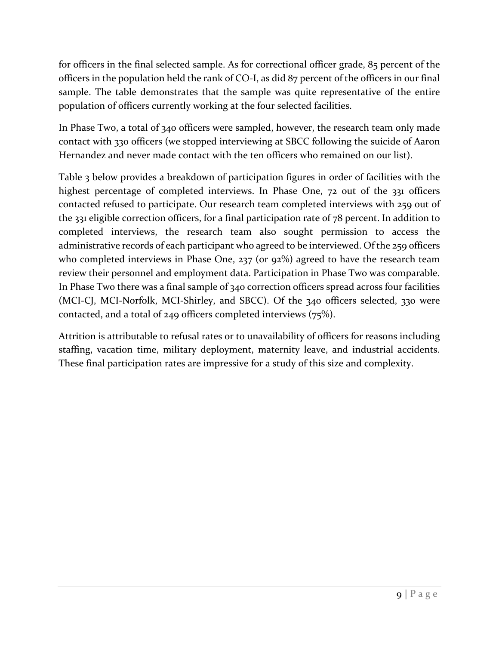for officers in the final selected sample. As for correctional officer grade, 85 percent of the officers in the population held the rank of CO-I, as did 87 percent of the officers in our final sample. The table demonstrates that the sample was quite representative of the entire population of officers currently working at the four selected facilities.

In Phase Two, a total of 340 officers were sampled, however, the research team only made contact with 330 officers (we stopped interviewing at SBCC following the suicide of Aaron Hernandez and never made contact with the ten officers who remained on our list).

Table 3 below provides a breakdown of participation figures in order of facilities with the highest percentage of completed interviews. In Phase One, 72 out of the 331 officers contacted refused to participate. Our research team completed interviews with 259 out of the 331 eligible correction officers, for a final participation rate of 78 percent. In addition to completed interviews, the research team also sought permission to access the administrative records of each participant who agreed to be interviewed. Of the 259 officers who completed interviews in Phase One, 237 (or 92%) agreed to have the research team review their personnel and employment data. Participation in Phase Two was comparable. In Phase Two there was a final sample of 340 correction officers spread across four facilities (MCI-CJ, MCI-Norfolk, MCI-Shirley, and SBCC). Of the 340 officers selected, 330 were contacted, and a total of 249 officers completed interviews (75%).

Attrition is attributable to refusal rates or to unavailability of officers for reasons including staffing, vacation time, military deployment, maternity leave, and industrial accidents. These final participation rates are impressive for a study of this size and complexity.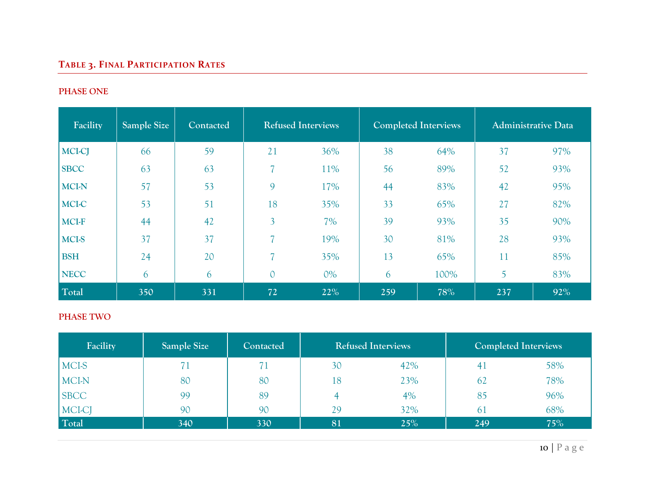# **TABLE 3. FINAL PARTICIPATION RATES**

### **PHASE ONE**

| Facility      | Sample Size | Contacted | <b>Refused Interviews</b> |       | <b>Completed Interviews</b> |      | <b>Administrative Data</b> |     |  |
|---------------|-------------|-----------|---------------------------|-------|-----------------------------|------|----------------------------|-----|--|
| <b>MCI-CJ</b> | 66          | 59        | 21                        | 36%   | 38                          | 64%  | 37                         | 97% |  |
| <b>SBCC</b>   | 63          | 63        | $\overline{7}$            | 11%   | 56                          | 89%  | 52                         | 93% |  |
| <b>MCI-N</b>  | 57          | 53        | 9                         | 17%   | 44                          | 83%  | 42                         | 95% |  |
| MCI-C         | 53          | 51        | 18                        | 35%   | 33                          | 65%  | 27                         | 82% |  |
| <b>MCI-F</b>  | 44          | 42        | $\overline{3}$            | 7%    | 39                          | 93%  | 35                         | 90% |  |
| MCI-S         | 37          | 37        | 7                         | 19%   | 30                          | 81%  | 28                         | 93% |  |
| <b>BSH</b>    | 24          | 20        | 7                         | 35%   | 13                          | 65%  | 11                         | 85% |  |
| <b>NECC</b>   | 6           | 6         | $\overline{O}$            | $0\%$ | 6                           | 100% | 5                          | 83% |  |
| Total         | 350         | 331       | 72                        | 22%   | 259                         | 78%  | 237                        | 92% |  |

#### **PHASE TWO**

| Facility    | Sample Size | <b>Contacted</b> | <b>Refused Interviews</b> |     |     | <b>Completed Interviews</b> |
|-------------|-------------|------------------|---------------------------|-----|-----|-----------------------------|
| MCI-S       |             |                  | 30                        | 42% | 41  | 58%                         |
| MCI-N       | 80          | 80               | 18                        | 23% | 62  | 78%                         |
| <b>SBCC</b> | 99          | 89               |                           | 4%  | 85  | 96%                         |
| MCI-CJ      | 90          | 90               | 29                        | 32% | 61  | 68%                         |
| Total       | 340         | 330              | 81                        | 25% | 249 | 75%                         |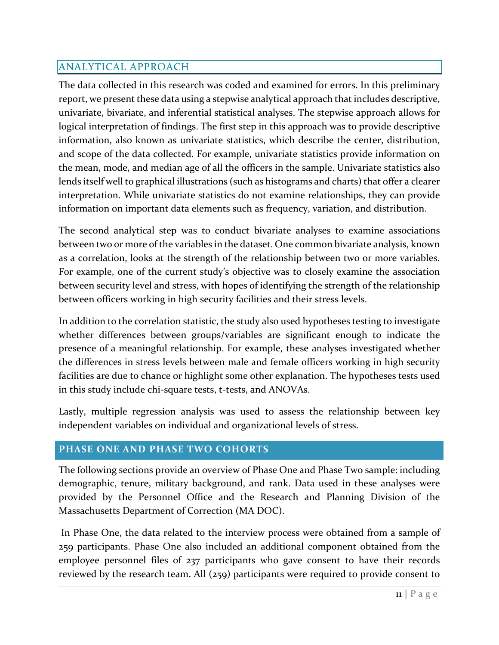## <span id="page-21-0"></span>ANALYTICAL APPROACH

The data collected in this research was coded and examined for errors. In this preliminary report, we present these data using a stepwise analytical approach that includes descriptive, univariate, bivariate, and inferential statistical analyses. The stepwise approach allows for logical interpretation of findings. The first step in this approach was to provide descriptive information, also known as univariate statistics, which describe the center, distribution, and scope of the data collected. For example, univariate statistics provide information on the mean, mode, and median age of all the officers in the sample. Univariate statistics also lends itself well to graphical illustrations (such as histograms and charts) that offer a clearer interpretation. While univariate statistics do not examine relationships, they can provide information on important data elements such as frequency, variation, and distribution.

The second analytical step was to conduct bivariate analyses to examine associations between two or more of the variables in the dataset. One common bivariate analysis, known as a correlation, looks at the strength of the relationship between two or more variables. For example, one of the current study's objective was to closely examine the association between security level and stress, with hopes of identifying the strength of the relationship between officers working in high security facilities and their stress levels.

In addition to the correlation statistic, the study also used hypotheses testing to investigate whether differences between groups/variables are significant enough to indicate the presence of a meaningful relationship. For example, these analyses investigated whether the differences in stress levels between male and female officers working in high security facilities are due to chance or highlight some other explanation. The hypotheses tests used in this study include chi-square tests, t-tests, and ANOVAs.

Lastly, multiple regression analysis was used to assess the relationship between key independent variables on individual and organizational levels of stress.

## <span id="page-21-1"></span>**PHASE ONE AND PHASE TWO COHORTS**

The following sections provide an overview of Phase One and Phase Two sample: including demographic, tenure, military background, and rank. Data used in these analyses were provided by the Personnel Office and the Research and Planning Division of the Massachusetts Department of Correction (MA DOC).

In Phase One, the data related to the interview process were obtained from a sample of 259 participants. Phase One also included an additional component obtained from the employee personnel files of 237 participants who gave consent to have their records reviewed by the research team. All (259) participants were required to provide consent to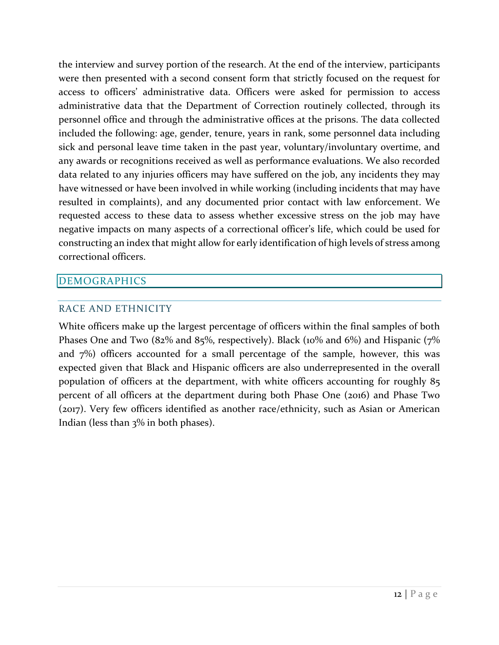the interview and survey portion of the research. At the end of the interview, participants were then presented with a second consent form that strictly focused on the request for access to officers' administrative data. Officers were asked for permission to access administrative data that the Department of Correction routinely collected, through its personnel office and through the administrative offices at the prisons. The data collected included the following: age, gender, tenure, years in rank, some personnel data including sick and personal leave time taken in the past year, voluntary/involuntary overtime, and any awards or recognitions received as well as performance evaluations. We also recorded data related to any injuries officers may have suffered on the job, any incidents they may have witnessed or have been involved in while working (including incidents that may have resulted in complaints), and any documented prior contact with law enforcement. We requested access to these data to assess whether excessive stress on the job may have negative impacts on many aspects of a correctional officer's life, which could be used for constructing an index that might allow for early identification of high levels of stress among correctional officers.

## <span id="page-22-0"></span>DEMOGRAPHICS

#### <span id="page-22-1"></span>RACE AND ETHNICITY

White officers make up the largest percentage of officers within the final samples of both Phases One and Two (82% and 85%, respectively). Black (10% and 6%) and Hispanic ( $7\%$ and 7%) officers accounted for a small percentage of the sample, however, this was expected given that Black and Hispanic officers are also underrepresented in the overall population of officers at the department, with white officers accounting for roughly 85 percent of all officers at the department during both Phase One (2016) and Phase Two (2017). Very few officers identified as another race/ethnicity, such as Asian or American Indian (less than 3% in both phases).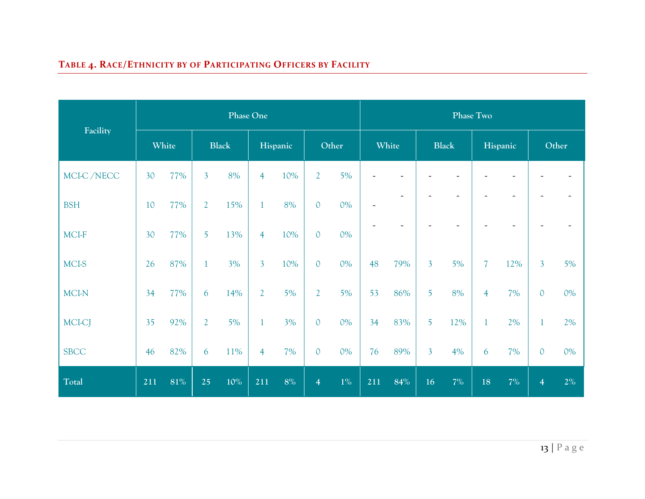# **TABLE 4. RACE/ETHNICITY BY OF PARTICIPATING OFFICERS BY FACILITY**

|               |       | <b>Phase One</b> |                |        |                |       |                |       |                          |        | Phase Two      |     |                |     |                |       |  |
|---------------|-------|------------------|----------------|--------|----------------|-------|----------------|-------|--------------------------|--------|----------------|-----|----------------|-----|----------------|-------|--|
| Facility      | White |                  | <b>Black</b>   |        | Hispanic       |       | Other          |       | White                    |        | <b>Black</b>   |     | Hispanic       |     | Other          |       |  |
| MCI-C /NECC   | 30    | 77%              | $\overline{3}$ | 8%     | $\overline{4}$ | 10%   | $\overline{2}$ | 5%    |                          |        |                |     |                |     |                |       |  |
| <b>BSH</b>    | 10    | 77%              | $\overline{2}$ | 15%    | 1              | 8%    | $\mathbf{0}$   | $0\%$ | $\overline{\phantom{0}}$ |        |                |     |                |     |                |       |  |
| MCI-F         | 30    | 77%              | 5              | 13%    | $\overline{4}$ | 10%   | $\mathbf{0}$   | $0\%$ |                          |        |                |     |                |     |                |       |  |
| <b>MCI-S</b>  | 26    | 87%              | $\mathbf{1}$   | 3%     | $\overline{3}$ | 10%   | $\mathbf{0}$   | $0\%$ | 48                       | 79%    | $\overline{3}$ | 5%  | $\overline{7}$ | 12% | $\overline{3}$ | 5%    |  |
| MCI-N         | 34    | 77%              | 6              | 14%    | $\overline{2}$ | 5%    | $\overline{2}$ | 5%    | 53                       | 86%    | 5              | 8%  | $\overline{4}$ | 7%  | $\mathbf{0}$   | $0\%$ |  |
| <b>MCI-CJ</b> | 35    | 92%              | $\overline{2}$ | 5%     | 1              | 3%    | $\mathbf{0}$   | $0\%$ | 34                       | 83%    | 5              | 12% | $\mathbf{1}$   | 2%  |                | 2%    |  |
| <b>SBCC</b>   | 46    | 82%              | 6              | 11%    | $\overline{4}$ | 7%    | $\mathbf{0}$   | $0\%$ | 76                       | 89%    | $\overline{3}$ | 4%  | 6              | 7%  | $\mathbf 0$    | $0\%$ |  |
| Total         | 211   | $81\%$           | 25             | $10\%$ | 211            | $8\%$ | $\overline{4}$ | $1\%$ | 211                      | $84\%$ | 16             | 7%  | 18             | 7%  | $\overline{4}$ | $2\%$ |  |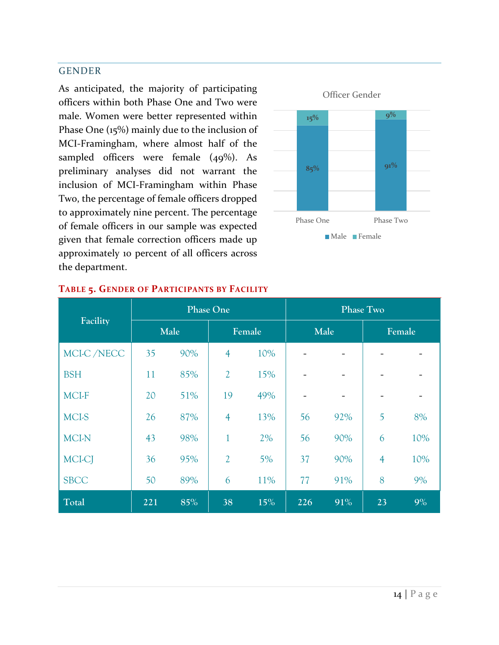#### <span id="page-24-0"></span>GENDER

As anticipated, the majority of participating officers within both Phase One and Two were male. Women were better represented within Phase One (15%) mainly due to the inclusion of MCI-Framingham, where almost half of the sampled officers were female (49%). As preliminary analyses did not warrant the inclusion of MCI-Framingham within Phase Two, the percentage of female officers dropped to approximately nine percent. The percentage of female officers in our sample was expected given that female correction officers made up approximately 10 percent of all officers across the department.



|              |     | <b>Phase One</b> |                |          | <b>Phase Two</b> |      |                |                              |  |  |
|--------------|-----|------------------|----------------|----------|------------------|------|----------------|------------------------------|--|--|
| Facility     |     | Male             |                | Female   |                  | Male | Female         |                              |  |  |
| MCI-C /NECC  | 35  | 90%              | $\overline{4}$ | 10%      |                  |      |                |                              |  |  |
| <b>BSH</b>   | 11  | 85%              | $\overline{2}$ | 15%      |                  |      |                |                              |  |  |
| <b>MCI-F</b> | 20  | 51%              | 19             | 49%      |                  |      |                | $\qquad \qquad \blacksquare$ |  |  |
| <b>MCI-S</b> | 26  | 87%              | $\overline{4}$ | 13%      | 56               | 92%  | 5              | 8%                           |  |  |
| <b>MCI-N</b> | 43  | 98%              | 1              | 2%       | 56               | 90%  | 6              | 10%                          |  |  |
| MCI-CJ       | 36  | 95%              | $\overline{2}$ | 5%       | 37               | 90%  | $\overline{4}$ | 10%                          |  |  |
| <b>SBCC</b>  | 50  | 89%              |                | 11%<br>6 |                  | 91%  | 8              | 9%                           |  |  |
| Total        | 221 | 85%              | 38             | 15%      | 226              | 91%  | 23             | 9%                           |  |  |

## **TABLE 5. GENDER OF PARTICIPANTS BY FACILITY**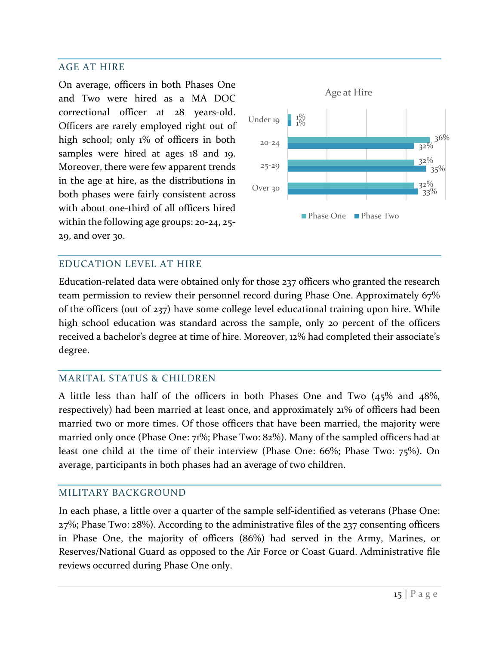#### <span id="page-25-0"></span>AGE AT HIRE

On average, officers in both Phases One and Two were hired as a MA DOC correctional officer at 28 years-old. Officers are rarely employed right out of high school; only 1% of officers in both samples were hired at ages 18 and 19. Moreover, there were few apparent trends in the age at hire, as the distributions in both phases were fairly consistent across with about one-third of all officers hired within the following age groups: 20-24, 25- 29, and over 30.



#### <span id="page-25-1"></span>EDUCATION LEVEL AT HIRE

Education-related data were obtained only for those 237 officers who granted the research team permission to review their personnel record during Phase One. Approximately 67% of the officers (out of 237) have some college level educational training upon hire. While high school education was standard across the sample, only 20 percent of the officers received a bachelor's degree at time of hire. Moreover, 12% had completed their associate's degree.

#### <span id="page-25-2"></span>MARITAL STATUS & CHILDREN

A little less than half of the officers in both Phases One and Two (45% and 48%, respectively) had been married at least once, and approximately 21% of officers had been married two or more times. Of those officers that have been married, the majority were married only once (Phase One: 71%; Phase Two: 82%). Many of the sampled officers had at least one child at the time of their interview (Phase One: 66%; Phase Two: 75%). On average, participants in both phases had an average of two children.

#### <span id="page-25-3"></span>MILITARY BACKGROUND

In each phase, a little over a quarter of the sample self-identified as veterans (Phase One: 27%; Phase Two: 28%). According to the administrative files of the 237 consenting officers in Phase One, the majority of officers (86%) had served in the Army, Marines, or Reserves/National Guard as opposed to the Air Force or Coast Guard. Administrative file reviews occurred during Phase One only.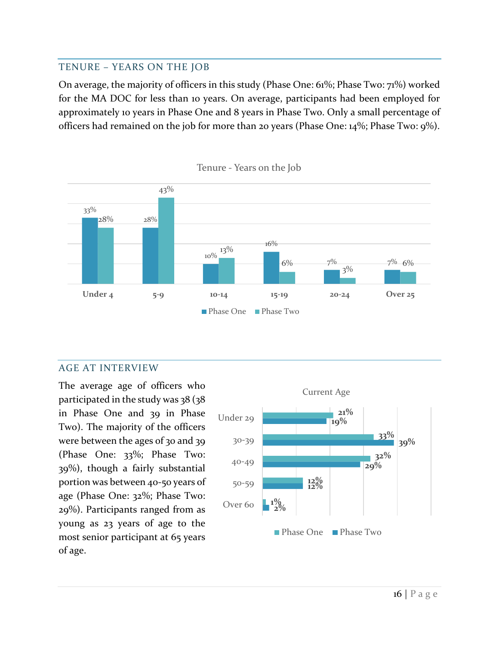#### <span id="page-26-0"></span>TENURE – YEARS ON THE JOB

On average, the majority of officers in this study (Phase One: 61%; Phase Two: 71%) worked for the MA DOC for less than 10 years. On average, participants had been employed for approximately 10 years in Phase One and 8 years in Phase Two. Only a small percentage of officers had remained on the job for more than 20 years (Phase One: 14%; Phase Two: 9%).



#### Tenure - Years on the Job

#### <span id="page-26-1"></span>AGE AT INTERVIEW

The average age of officers who participated in the study was 38 (38 in Phase One and 39 in Phase Two). The majority of the officers were between the ages of 30 and 39 (Phase One: 33%; Phase Two: 39%), though a fairly substantial portion was between 40-50 years of age (Phase One: 32%; Phase Two: 29%). Participants ranged from as young as 23 years of age to the most senior participant at 65 years of age.

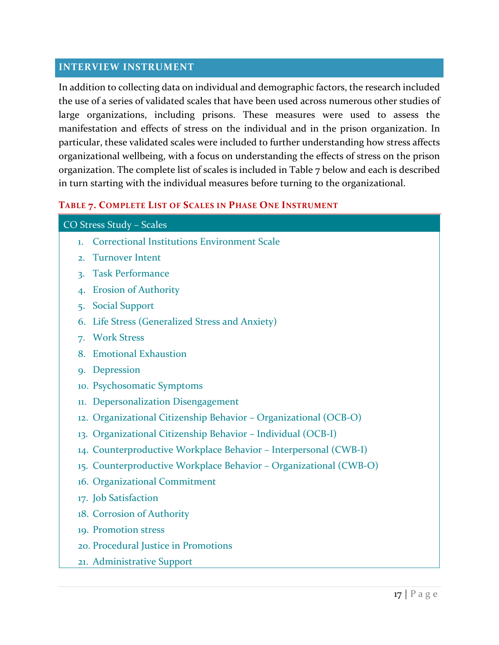#### <span id="page-27-0"></span>**INTERVIEW INSTRUMENT**

In addition to collecting data on individual and demographic factors, the research included the use of a series of validated scales that have been used across numerous other studies of large organizations, including prisons. These measures were used to assess the manifestation and effects of stress on the individual and in the prison organization. In particular, these validated scales were included to further understanding how stress affects organizational wellbeing, with a focus on understanding the effects of stress on the prison organization. The complete list of scales is included in Table 7 below and each is described in turn starting with the individual measures before turning to the organizational.

#### **TABLE 7. COMPLETE LIST OF SCALES IN PHASE ONE INSTRUMENT**

|                  | CO Stress Study - Scales                                          |
|------------------|-------------------------------------------------------------------|
| 1.               | <b>Correctional Institutions Environment Scale</b>                |
| $\overline{2}$ . | <b>Turnover Intent</b>                                            |
| 3.               | <b>Task Performance</b>                                           |
| 4.               | <b>Erosion of Authority</b>                                       |
| 5.               | <b>Social Support</b>                                             |
| 6.               | Life Stress (Generalized Stress and Anxiety)                      |
| 7.               | <b>Work Stress</b>                                                |
| 8.               | <b>Emotional Exhaustion</b>                                       |
| <b>Q.</b>        | Depression                                                        |
|                  | 10. Psychosomatic Symptoms                                        |
| 11.              | <b>Depersonalization Disengagement</b>                            |
|                  | 12. Organizational Citizenship Behavior - Organizational (OCB-O)  |
|                  | 13. Organizational Citizenship Behavior - Individual (OCB-I)      |
|                  | 14. Counterproductive Workplace Behavior - Interpersonal (CWB-I)  |
|                  | 15. Counterproductive Workplace Behavior - Organizational (CWB-O) |
|                  | 16. Organizational Commitment                                     |
|                  | 17. Job Satisfaction                                              |
|                  | 18. Corrosion of Authority                                        |
|                  | 19. Promotion stress                                              |
|                  | 20. Procedural Justice in Promotions                              |
|                  | 21. Administrative Support                                        |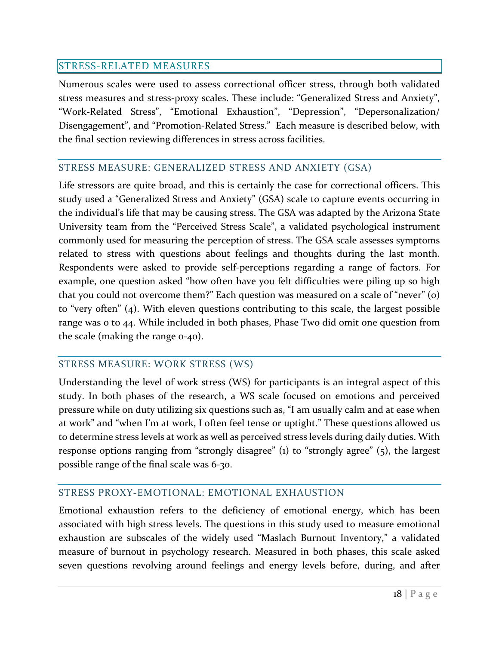## <span id="page-28-0"></span>STRESS-RELATED MEASURES

Numerous scales were used to assess correctional officer stress, through both validated stress measures and stress-proxy scales. These include: "Generalized Stress and Anxiety", "Work-Related Stress", "Emotional Exhaustion", "Depression", "Depersonalization/ Disengagement", and "Promotion-Related Stress." Each measure is described below, with the final section reviewing differences in stress across facilities.

### <span id="page-28-1"></span>STRESS MEASURE: GENERALIZED STRESS AND ANXIETY (GSA)

Life stressors are quite broad, and this is certainly the case for correctional officers. This study used a "Generalized Stress and Anxiety" (GSA) scale to capture events occurring in the individual's life that may be causing stress. The GSA was adapted by the Arizona State University team from the "Perceived Stress Scale", a validated psychological instrument commonly used for measuring the perception of stress. The GSA scale assesses symptoms related to stress with questions about feelings and thoughts during the last month. Respondents were asked to provide self-perceptions regarding a range of factors. For example, one question asked "how often have you felt difficulties were piling up so high that you could not overcome them?" Each question was measured on a scale of "never" (0) to "very often" (4). With eleven questions contributing to this scale, the largest possible range was 0 to 44. While included in both phases, Phase Two did omit one question from the scale (making the range 0-40).

#### <span id="page-28-2"></span>STRESS MEASURE: WORK STRESS (WS)

Understanding the level of work stress (WS) for participants is an integral aspect of this study. In both phases of the research, a WS scale focused on emotions and perceived pressure while on duty utilizing six questions such as, "I am usually calm and at ease when at work" and "when I'm at work, I often feel tense or uptight." These questions allowed us to determine stress levels at work as well as perceived stress levels during daily duties. With response options ranging from "strongly disagree" (1) to "strongly agree" (5), the largest possible range of the final scale was 6-30.

## <span id="page-28-3"></span>STRESS PROXY-EMOTIONAL: EMOTIONAL EXHAUSTION

Emotional exhaustion refers to the deficiency of emotional energy, which has been associated with high stress levels. The questions in this study used to measure emotional exhaustion are subscales of the widely used "Maslach Burnout Inventory," a validated measure of burnout in psychology research. Measured in both phases, this scale asked seven questions revolving around feelings and energy levels before, during, and after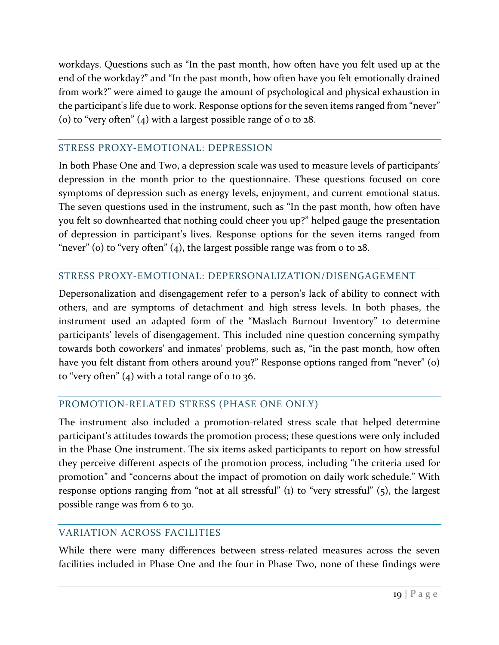workdays. Questions such as "In the past month, how often have you felt used up at the end of the workday?" and "In the past month, how often have you felt emotionally drained from work?" were aimed to gauge the amount of psychological and physical exhaustion in the participant's life due to work. Response options for the seven items ranged from "never" (o) to "very often"  $(4)$  with a largest possible range of 0 to 28.

### <span id="page-29-0"></span>STRESS PROXY-EMOTIONAL: DEPRESSION

In both Phase One and Two, a depression scale was used to measure levels of participants' depression in the month prior to the questionnaire. These questions focused on core symptoms of depression such as energy levels, enjoyment, and current emotional status. The seven questions used in the instrument, such as "In the past month, how often have you felt so downhearted that nothing could cheer you up?" helped gauge the presentation of depression in participant's lives. Response options for the seven items ranged from "never" (o) to "very often"  $(4)$ , the largest possible range was from o to 28.

## <span id="page-29-1"></span>STRESS PROXY-EMOTIONAL: DEPERSONALIZATION/DISENGAGEMENT

Depersonalization and disengagement refer to a person's lack of ability to connect with others, and are symptoms of detachment and high stress levels. In both phases, the instrument used an adapted form of the "Maslach Burnout Inventory" to determine participants' levels of disengagement. This included nine question concerning sympathy towards both coworkers' and inmates' problems, such as, "in the past month, how often have you felt distant from others around you?" Response options ranged from "never" (o) to "very often"  $(4)$  with a total range of o to 36.

## <span id="page-29-2"></span>PROMOTION-RELATED STRESS (PHASE ONE ONLY)

The instrument also included a promotion-related stress scale that helped determine participant's attitudes towards the promotion process; these questions were only included in the Phase One instrument. The six items asked participants to report on how stressful they perceive different aspects of the promotion process, including "the criteria used for promotion" and "concerns about the impact of promotion on daily work schedule." With response options ranging from "not at all stressful" (1) to "very stressful" (5), the largest possible range was from 6 to 30.

## <span id="page-29-3"></span>VARIATION ACROSS FACILITIES

While there were many differences between stress-related measures across the seven facilities included in Phase One and the four in Phase Two, none of these findings were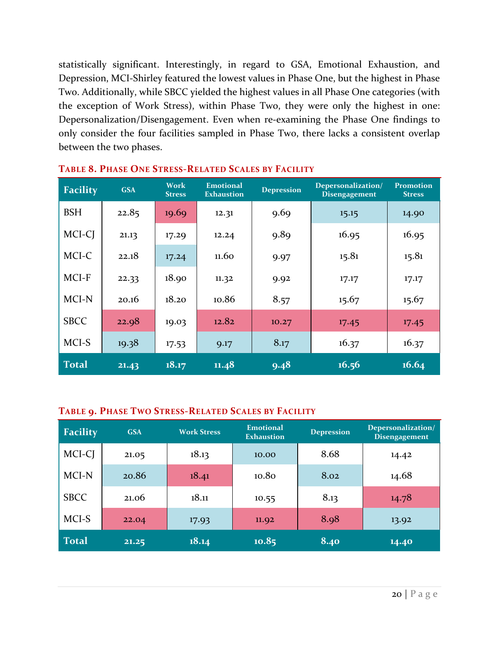statistically significant. Interestingly, in regard to GSA, Emotional Exhaustion, and Depression, MCI-Shirley featured the lowest values in Phase One, but the highest in Phase Two. Additionally, while SBCC yielded the highest values in all Phase One categories (with the exception of Work Stress), within Phase Two, they were only the highest in one: Depersonalization/Disengagement. Even when re-examining the Phase One findings to only consider the four facilities sampled in Phase Two, there lacks a consistent overlap between the two phases.

| <b>Facility</b> | <b>GSA</b> | <b>Work</b><br><b>Stress</b> | <b>Emotional</b><br><b>Exhaustion</b> | <b>Depression</b> | Depersonalization/<br>Disengagement | <b>Promotion</b><br><b>Stress</b> |
|-----------------|------------|------------------------------|---------------------------------------|-------------------|-------------------------------------|-----------------------------------|
| <b>BSH</b>      | 22.85      | 19.69                        | 12.31                                 | 9.69              | 15.15                               | 14.90                             |
| MCI-CJ          | 21.13      | 17.29                        | 12.24                                 | 9.89              | 16.95                               | 16.95                             |
| MCI-C           | 22.18      | 17.24                        | 11.60                                 | 9.97              | 15.81                               | 15.81                             |
| MCI-F           | 22.33      | 18.90                        | 11.32                                 | 9.92              | 17.17                               | 17.17                             |
| MCI-N           | 20.16      | 18.20                        | 10.86                                 | 8.57              | 15.67                               | 15.67                             |
| <b>SBCC</b>     | 22.98      | 19.03                        | 12.82                                 | 10.27             | 17.45                               | 17.45                             |
| MCI-S           | 19.38      | 17.53                        | 9.17                                  | 8.17              | 16.37                               | 16.37                             |
| <b>Total</b>    | 21.43      | 18.17                        | 11.48                                 | 9.48              | 16.56                               | 16.64                             |

#### **TABLE 8. PHASE ONE STRESS-RELATED SCALES BY FACILITY**

#### **TABLE 9. PHASE TWO STRESS-RELATED SCALES BY FACILITY**

| <b>Facility</b> | <b>GSA</b> | <b>Work Stress</b> | <b>Emotional</b><br><b>Exhaustion</b> | <b>Depression</b> | Depersonalization/<br><b>Disengagement</b> |
|-----------------|------------|--------------------|---------------------------------------|-------------------|--------------------------------------------|
| MCI-CJ          | 21.05      | 18.13              | 10.00                                 | 8.68              | 14.42                                      |
| MCI-N           | 20.86      | 18.41              | 10.80                                 | 8.02              | 14.68                                      |
| <b>SBCC</b>     | 21.06      | 18.11              | 10.55                                 | 8.13              | 14.78                                      |
| MCI-S           | 22.04      | 17.93              | 11.92                                 | 8.98              | 13.92                                      |
| <b>Total</b>    | 21.25      | 18.14              | 10.85                                 | 8.40              | 14.40                                      |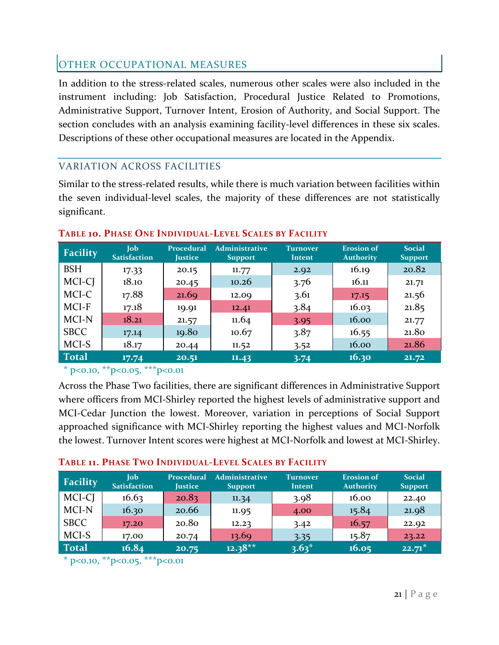## <span id="page-31-0"></span>OTHER OCCUPATIONAL MEASURES

In addition to the stress-related scales, numerous other scales were also included in the instrument including: Job Satisfaction, Procedural Justice Related to Promotions, Administrative Support, Turnover Intent, Erosion of Authority, and Social Support. The section concludes with an analysis examining facility-level differences in these six scales. Descriptions of these other occupational measures are located in the Appendix.

## <span id="page-31-1"></span>VARIATION ACROSS FACILITIES

Similar to the stress-related results, while there is much variation between facilities within the seven individual-level scales, the majority of these differences are not statistically significant.

| <b>Facility</b> | <b>Job</b><br><b>Satisfaction</b> | Procedural<br><b>Justice</b> | <b>Administrative</b><br><b>Support</b> | <b>Turnover</b><br>Intent | <b>Erosion</b> of<br><b>Authority</b> | <b>Social</b><br><b>Support</b> |
|-----------------|-----------------------------------|------------------------------|-----------------------------------------|---------------------------|---------------------------------------|---------------------------------|
| <b>BSH</b>      | 17.33                             | 20.15                        | 11.77                                   | 2.92                      | 16.19                                 | 20.82                           |
| MCI-CJ          | 18.10                             | 20.45                        | 10.26                                   | 3.76                      | 16.11                                 | 21.71                           |
| MCI-C           | 17.88                             | 21.69                        | 12.09                                   | 3.61                      | 17.15                                 | 21.56                           |
| MCI-F           | 17.18                             | 19.91                        | 12.41                                   | 3.84                      | 16.03                                 | 21.85                           |
| MCI-N           | 18.21                             | 21.57                        | 11.64                                   | 3.95                      | 16.00                                 | 21.77                           |
| <b>SBCC</b>     | 17.14                             | 19.80                        | 10.67                                   | 3.87                      | 16.55                                 | 21.80                           |
| MCI-S           | 18.17                             | 20.44                        | 11.52                                   | 3.52                      | 16.00                                 | 21.86                           |
| <b>Total</b>    | 17.74                             | 20.51                        | 11.43                                   | 3.74                      | 16.30                                 | 21.72                           |

## **TABLE 10. PHASE ONE INDIVIDUAL-LEVEL SCALES BY FACILITY**

## $*$  p<0.10,  $*$  $*$ p<0.05,  $*$  $*$  $*$ p<0.01

Across the Phase Two facilities, there are significant differences in Administrative Support where officers from MCI-Shirley reported the highest levels of administrative support and MCI-Cedar Junction the lowest. Moreover, variation in perceptions of Social Support approached significance with MCI-Shirley reporting the highest values and MCI-Norfolk the lowest. Turnover Intent scores were highest at MCI-Norfolk and lowest at MCI-Shirley.

#### **TABLE 11. PHASE TWO INDIVIDUAL-LEVEL SCALES BY FACILITY**

| Facility     | <b>Iob</b><br><b>Satisfaction</b> | Procedural<br><b>Justice</b> | <b>Administrative</b><br><b>Support</b> | <b>Turnover</b><br>Intent | <b>Erosion of</b><br><b>Authority</b> | <b>Social</b><br><b>Support</b> |
|--------------|-----------------------------------|------------------------------|-----------------------------------------|---------------------------|---------------------------------------|---------------------------------|
| MCI-CJ       | 16.63                             | 20.83                        | 11.34                                   | 3.98                      | 16.00                                 | 22.40                           |
| MCI-N        | 16.30                             | 20.66                        | 11.95                                   | 4.00                      | 15.84                                 | 21.98                           |
| <b>SBCC</b>  | 17.20                             | 20.80                        | 12.23                                   | 3.42                      | 16.57                                 | 22.92                           |
| MCI-S        | 17.00                             | 20.74                        | 13.69                                   | 3.35                      | 15.87                                 | 23.22                           |
| <b>Total</b> | 16.84                             | 20.75                        | $12.38**$                               | $3.63*$                   | 16.05                                 | $22.71*$                        |

 $*$  p<0.10,  $*$  $*$  p<0.05,  $*$  $*$  $*$  $p$ <0.01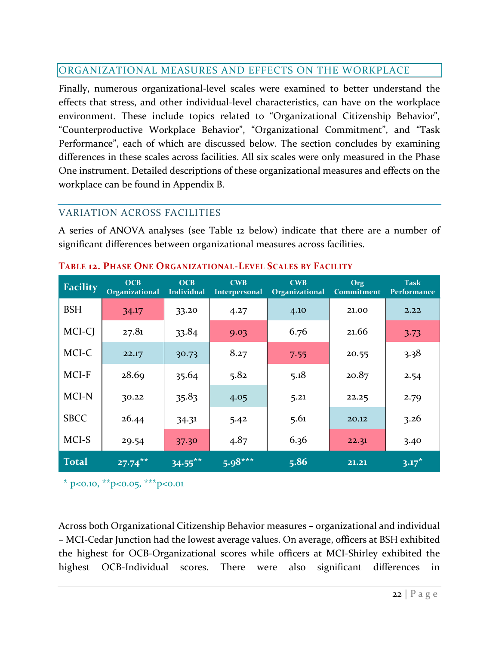## <span id="page-32-0"></span>ORGANIZATIONAL MEASURES AND EFFECTS ON THE WORKPLACE

Finally, numerous organizational-level scales were examined to better understand the effects that stress, and other individual-level characteristics, can have on the workplace environment. These include topics related to "Organizational Citizenship Behavior", "Counterproductive Workplace Behavior", "Organizational Commitment", and "Task Performance", each of which are discussed below. The section concludes by examining differences in these scales across facilities. All six scales were only measured in the Phase One instrument. Detailed descriptions of these organizational measures and effects on the workplace can be found in Appendix B.

## <span id="page-32-1"></span>VARIATION ACROSS FACILITIES

A series of ANOVA analyses (see Table 12 below) indicate that there are a number of significant differences between organizational measures across facilities.

| <b>Facility</b> | OCB<br>Organizational | OCB<br><b>Individual</b> | <b>CWB</b><br><b>Interpersonal</b> | <b>CWB</b><br>Organizational | Org<br><b>Commitment</b> | <b>Task</b><br>Performance |
|-----------------|-----------------------|--------------------------|------------------------------------|------------------------------|--------------------------|----------------------------|
| <b>BSH</b>      | 34.17                 | 33.20                    | 4.27                               | 4.10                         | 21.00                    | 2.22                       |
| MCI-CJ          | 27.81                 | 33.84                    | 9.03                               | 6.76                         | 21.66                    | 3.73                       |
| MCI-C           | 22.17                 | 30.73                    | 8.27                               | 7.55                         | 20.55                    | 3.38                       |
| MCI-F           | 28.69                 | 35.64                    | 5.82                               | 5.18                         | 20.87                    | 2.54                       |
| MCI-N           | 30.22                 | 35.83                    | 4.05                               | 5.21                         | 22.25                    | 2.79                       |
| <b>SBCC</b>     | 26.44                 | 34.31                    | 5.42                               | 5.61                         | 20.12                    | 3.26                       |
| MCI-S           | 29.54                 | 37.30                    | 4.87                               | 6.36                         | 22.31                    | 3.40                       |
| <b>Total</b>    | $27.74***$            | $34.55***$               | $5.98***$                          | 5.86                         | 21.21                    | $3.17*$                    |

#### **TABLE 12. PHASE ONE ORGANIZATIONAL-LEVEL SCALES BY FACILITY**

\* p<0.10, \*\*p<0.05, \*\*\*p<0.01

Across both Organizational Citizenship Behavior measures – organizational and individual – MCI-Cedar Junction had the lowest average values. On average, officers at BSH exhibited the highest for OCB-Organizational scores while officers at MCI-Shirley exhibited the highest OCB-Individual scores. There were also significant differences in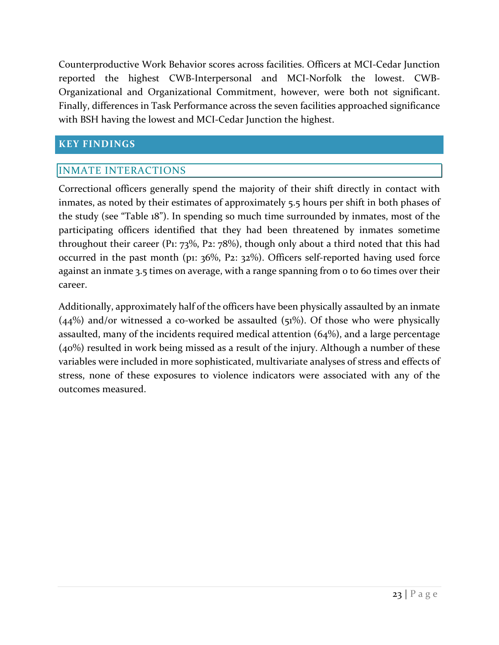Counterproductive Work Behavior scores across facilities. Officers at MCI-Cedar Junction reported the highest CWB-Interpersonal and MCI-Norfolk the lowest. CWB-Organizational and Organizational Commitment, however, were both not significant. Finally, differences in Task Performance across the seven facilities approached significance with BSH having the lowest and MCI-Cedar Junction the highest.

## <span id="page-33-0"></span>**KEY FINDINGS**

## <span id="page-33-1"></span>INMATE INTERACTIONS

Correctional officers generally spend the majority of their shift directly in contact with inmates, as noted by their estimates of approximately 5.5 hours per shift in both phases of the study (see "Table 18"). In spending so much time surrounded by inmates, most of the participating officers identified that they had been threatened by inmates sometime throughout their career (P1:  $73\%$ , P2:  $78\%$ ), though only about a third noted that this had occurred in the past month (p1: 36%, P2: 32%). Officers self-reported having used force against an inmate 3.5 times on average, with a range spanning from 0 to 60 times over their career.

Additionally, approximately half of the officers have been physically assaulted by an inmate  $(44%)$  and/or witnessed a co-worked be assaulted  $(51%)$ . Of those who were physically assaulted, many of the incidents required medical attention (64%), and a large percentage (40%) resulted in work being missed as a result of the injury. Although a number of these variables were included in more sophisticated, multivariate analyses of stress and effects of stress, none of these exposures to violence indicators were associated with any of the outcomes measured.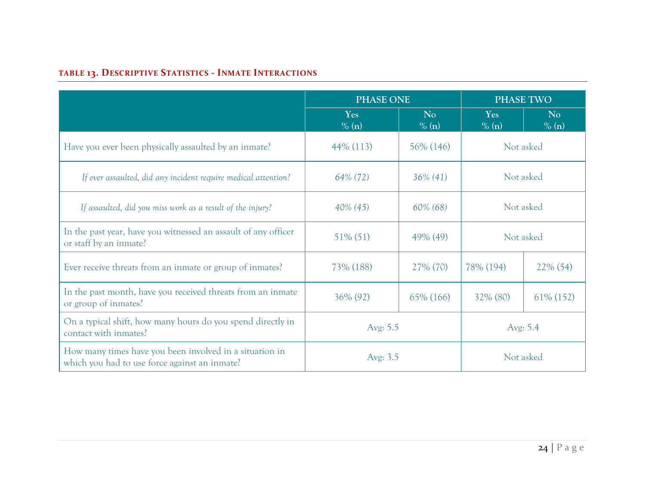# **TABLE 13. DESCRIPTIVE STATISTICS - INMATE INTERACTIONS**

|                                                                                                          | <b>PHASE ONE</b> |                         |              | <b>PHASE TWO</b>        |
|----------------------------------------------------------------------------------------------------------|------------------|-------------------------|--------------|-------------------------|
|                                                                                                          | Yes<br>% (n)     | N <sub>o</sub><br>% (n) | Yes<br>% (n) | N <sub>o</sub><br>% (n) |
| Have you ever been physically assaulted by an inmate?                                                    | $44\%$ (113)     | 56\% (146)              |              | Not asked               |
| If ever assaulted, did any incident require medical attention?                                           | 64% (72)         | $36\% (41)$             |              | Not asked               |
| If assaulted, did you miss work as a result of the injury?                                               | $40\%$ (45)      | 60% (68)                | Not asked    |                         |
| In the past year, have you witnessed an assault of any officer<br>or staff by an inmate?                 | 51% (51)         | 49% (49)                |              | Not asked               |
| Ever receive threats from an inmate or group of inmates?                                                 | 73% (188)        | 27% (70)                | 78% (194)    | $22\% (54)$             |
| In the past month, have you received threats from an inmate<br>or group of inmates?                      | 36% (92)         | 65% (166)               | $32\%$ (80)  | 61\% (152)              |
| On a typical shift, how many hours do you spend directly in<br>contact with inmates?                     | Avg: 5.5         |                         |              | Avg: 5.4                |
| How many times have you been involved in a situation in<br>which you had to use force against an inmate? | Avg: 3.5         |                         |              | Not asked               |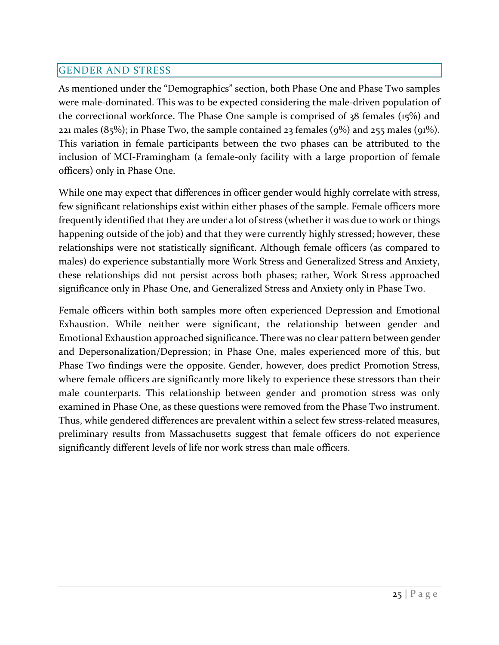## <span id="page-35-0"></span>GENDER AND STRESS

As mentioned under the "Demographics" section, both Phase One and Phase Two samples were male-dominated. This was to be expected considering the male-driven population of the correctional workforce. The Phase One sample is comprised of 38 females (15%) and 221 males  $(85\%)$ ; in Phase Two, the sample contained 23 females  $(9\%)$  and 255 males  $(91\%)$ . This variation in female participants between the two phases can be attributed to the inclusion of MCI-Framingham (a female-only facility with a large proportion of female officers) only in Phase One.

While one may expect that differences in officer gender would highly correlate with stress, few significant relationships exist within either phases of the sample. Female officers more frequently identified that they are under a lot of stress (whether it was due to work or things happening outside of the job) and that they were currently highly stressed; however, these relationships were not statistically significant. Although female officers (as compared to males) do experience substantially more Work Stress and Generalized Stress and Anxiety, these relationships did not persist across both phases; rather, Work Stress approached significance only in Phase One, and Generalized Stress and Anxiety only in Phase Two.

Female officers within both samples more often experienced Depression and Emotional Exhaustion. While neither were significant, the relationship between gender and Emotional Exhaustion approached significance. There was no clear pattern between gender and Depersonalization/Depression; in Phase One, males experienced more of this, but Phase Two findings were the opposite. Gender, however, does predict Promotion Stress, where female officers are significantly more likely to experience these stressors than their male counterparts. This relationship between gender and promotion stress was only examined in Phase One, as these questions were removed from the Phase Two instrument. Thus, while gendered differences are prevalent within a select few stress-related measures, preliminary results from Massachusetts suggest that female officers do not experience significantly different levels of life nor work stress than male officers.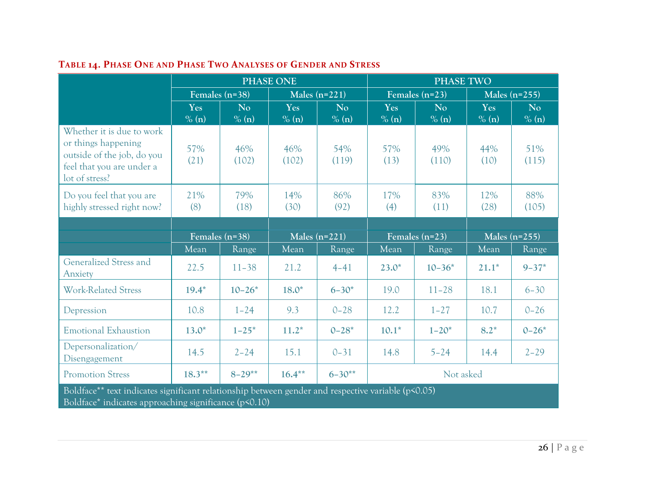|                                                                                                                                                             | <b>PHASE ONE</b> |                         |                 |                         | <b>PHASE TWO</b> |                  |              |                 |
|-------------------------------------------------------------------------------------------------------------------------------------------------------------|------------------|-------------------------|-----------------|-------------------------|------------------|------------------|--------------|-----------------|
|                                                                                                                                                             |                  | Females (n=38)          |                 | Males $(n=221)$         |                  | Females $(n=23)$ |              | Males $(n=255)$ |
|                                                                                                                                                             | Yes<br>$\%$ (n)  | N <sub>o</sub><br>% (n) | Yes<br>$\%$ (n) | N <sub>o</sub><br>% (n) | Yes<br>% (n)     | No<br>% (n)      | Yes<br>% (n) | No.<br>% (n)    |
| Whether it is due to work<br>or things happening<br>outside of the job, do you<br>feel that you are under a<br>lot of stress?                               | 57%<br>(21)      | 46%<br>(102)            | 46%<br>(102)    | 54%<br>(119)            | 57%<br>(13)      | 49%<br>(110)     | 44%<br>(10)  | 51%<br>(115)    |
| Do you feel that you are<br>highly stressed right now?                                                                                                      | 21%<br>(8)       | 79%<br>(18)             | 14%<br>(30)     | 86%<br>(92)             | 17%<br>(4)       | 83%<br>(11)      | 12%<br>(28)  | 88%<br>(105)    |
|                                                                                                                                                             |                  |                         |                 |                         |                  |                  |              |                 |
|                                                                                                                                                             |                  | Females $(n=38)$        |                 | Males $(n=221)$         |                  | Females $(n=23)$ |              | Males $(n=255)$ |
|                                                                                                                                                             | Mean             | Range                   | Mean            | Range                   | Mean             | Range            | Mean         | Range           |
| Generalized Stress and<br>Anxiety                                                                                                                           | 22.5             | $11 - 38$               | 21.2            | $4 - 41$                | $23.0*$          | $10 - 36*$       | $21.1*$      | $9 - 37*$       |
| <b>Work-Related Stress</b>                                                                                                                                  | $19.4*$          | $10 - 26*$              | $18.0*$         | $6 - 30*$               | 19.0             | $11 - 28$        | 18.1         | $6 - 30$        |
| Depression                                                                                                                                                  | 10.8             | $1 - 24$                | 9.3             | $0 - 28$                | 12.2             | $1 - 27$         | 10.7         | $0 - 26$        |
| <b>Emotional Exhaustion</b>                                                                                                                                 | $13.0*$          | $1 - 25*$               | $11.2*$         | $0 - 28^*$              | $10.1*$          | $1 - 20*$        | $8.2*$       | $0 - 26*$       |
| Depersonalization/<br>Disengagement                                                                                                                         | 14.5             | $2 - 24$                | 15.1            | $0 - 31$                | 14.8             | $5 - 24$         | 14.4         | $2 - 29$        |
| <b>Promotion Stress</b>                                                                                                                                     | $18.3***$        | $8 - 29**$              | $16.4***$       | $6 - 30**$              |                  | Not asked        |              |                 |
| Boldface** text indicates significant relationship between gender and respective variable (p<0.05)<br>Boldface* indicates approaching significance (p<0.10) |                  |                         |                 |                         |                  |                  |              |                 |

# **TABLE 14. PHASE ONE AND PHASE TWO ANALYSES OF GENDER AND STRESS**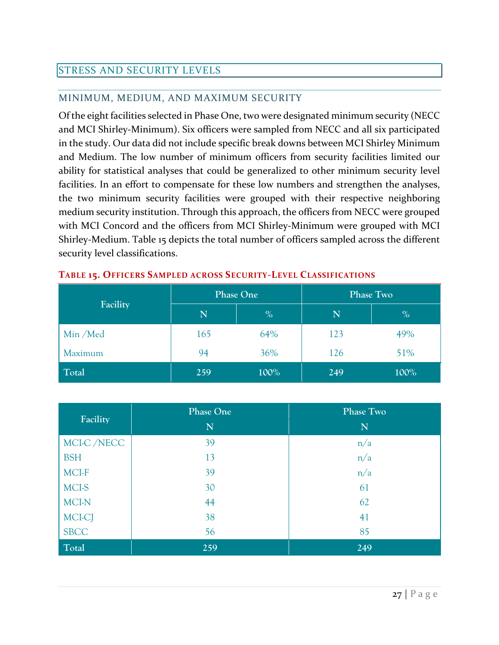## <span id="page-37-0"></span>STRESS AND SECURITY LEVELS

## <span id="page-37-1"></span>MINIMUM, MEDIUM, AND MAXIMUM SECURITY

Of the eight facilities selected in Phase One, two were designated minimum security (NECC and MCI Shirley-Minimum). Six officers were sampled from NECC and all six participated in the study. Our data did not include specific break downs between MCI Shirley Minimum and Medium. The low number of minimum officers from security facilities limited our ability for statistical analyses that could be generalized to other minimum security level facilities. In an effort to compensate for these low numbers and strengthen the analyses, the two minimum security facilities were grouped with their respective neighboring medium security institution. Through this approach, the officers from NECC were grouped with MCI Concord and the officers from MCI Shirley-Minimum were grouped with MCI Shirley-Medium. Table 15 depicts the total number of officers sampled across the different security level classifications.

|          |     | Phase One | <b>Phase Two</b> |      |  |
|----------|-----|-----------|------------------|------|--|
| Facility | N   | $\%$      | N                | $\%$ |  |
| Min/Med  | 165 | 64%       | 123              | 49%  |  |
| Maximum  | 94  | 36%       | 126              | 51%  |  |
| Total    | 259 | 100%      | 249              | 100% |  |

#### **TABLE 15. OFFICERS SAMPLED ACROSS SECURITY-LEVEL CLASSIFICATIONS**

|             | <b>Phase One</b> | <b>Phase Two</b> |
|-------------|------------------|------------------|
| Facility    | N                | N                |
| MCI-C/NECC  | 39               | n/a              |
| <b>BSH</b>  | 13               | n/a              |
| MCI-F       | 39               | n/a              |
| MCI-S       | 30               | 61               |
| MCI-N       | 44               | 62               |
| MCI-CJ      | 38               | 41               |
| <b>SBCC</b> | 56               | 85               |
| Total       | 259              | 249              |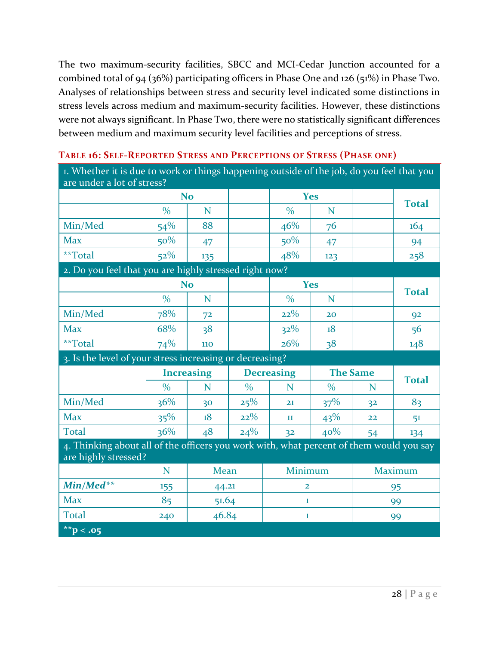The two maximum-security facilities, SBCC and MCI-Cedar Junction accounted for a combined total of 94 (36%) participating officers in Phase One and 126 (51%) in Phase Two. Analyses of relationships between stress and security level indicated some distinctions in stress levels across medium and maximum-security facilities. However, these distinctions were not always significant. In Phase Two, there were no statistically significant differences between medium and maximum security level facilities and perceptions of stress.

| 1. Whether it is due to work or things happening outside of the job, do you feel that you |                   |                |                                      |                |               |                |                |
|-------------------------------------------------------------------------------------------|-------------------|----------------|--------------------------------------|----------------|---------------|----------------|----------------|
| are under a lot of stress?                                                                |                   | <b>No</b>      |                                      |                | <b>Yes</b>    |                |                |
|                                                                                           | $\frac{0}{0}$     | N              |                                      | $\frac{0}{0}$  | N             |                | <b>Total</b>   |
| Min/Med                                                                                   | 54%               | 88             |                                      | 46%            | 76            |                | 164            |
| <b>Max</b>                                                                                | 50%               |                |                                      | 50%            |               |                |                |
| **Total                                                                                   | 52%               | 47             |                                      | 48%            | 47<br>123     |                | 94<br>258      |
| 2. Do you feel that you are highly stressed right now?                                    |                   | 135            |                                      |                |               |                |                |
|                                                                                           |                   | <b>No</b>      |                                      |                | <b>Yes</b>    |                |                |
|                                                                                           | $\frac{0}{0}$     | N              |                                      | $\frac{0}{0}$  | N             |                | <b>Total</b>   |
| Min/Med                                                                                   | 78%               | 7 <sup>2</sup> |                                      | 22%            | 20            |                | 92             |
| <b>Max</b>                                                                                | 68%               | 38             |                                      | 32%            | 18            |                | 56             |
| **Total                                                                                   | 74%               | 110            |                                      | 26%            | 38            |                | 148            |
| 3. Is the level of your stress increasing or decreasing?                                  |                   |                |                                      |                |               |                |                |
|                                                                                           | <b>Increasing</b> |                | <b>Decreasing</b><br><b>The Same</b> |                |               |                |                |
|                                                                                           |                   |                |                                      |                |               |                |                |
|                                                                                           | $\frac{0}{0}$     | N              | $\frac{0}{0}$                        | N              | $\frac{0}{0}$ | N              | <b>Total</b>   |
| Min/Med                                                                                   | 36%               | 30             | 25%                                  | 21             | 37%           | 3 <sup>2</sup> | 83             |
| <b>Max</b>                                                                                | 35%               | 18             | 22%                                  | 11             | $43\%$        | 22             | 51             |
| <b>Total</b>                                                                              | 36%               | 48             | 24%                                  | 3 <sup>2</sup> | 40%           | 54             | 134            |
| 4. Thinking about all of the officers you work with, what percent of them would you say   |                   |                |                                      |                |               |                |                |
| are highly stressed?                                                                      |                   |                |                                      |                |               |                |                |
|                                                                                           | N                 | <b>Mean</b>    |                                      | Minimum        |               |                | <b>Maximum</b> |
| Min/Med**                                                                                 | 155               | 44.21          |                                      | $\overline{2}$ |               |                | 95             |
| <b>Max</b>                                                                                | 85                | 51.64          |                                      | 1              |               |                | 99             |
| <b>Total</b>                                                                              | 240               | 46.84          |                                      | 1              |               |                | 99             |

#### **TABLE 16: SELF-REPORTED STRESS AND PERCEPTIONS OF STRESS (PHASE ONE)**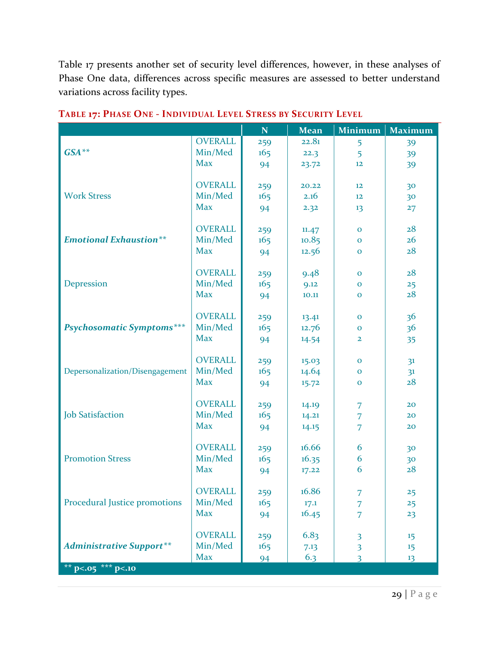Table 17 presents another set of security level differences, however, in these analyses of Phase One data, differences across specific measures are assessed to better understand variations across facility types.

|                                  |                | $\mathbf N$ | <b>Mean</b> | <b>Minimum</b>          | <b>Maximum</b> |
|----------------------------------|----------------|-------------|-------------|-------------------------|----------------|
|                                  | <b>OVERALL</b> | 259         | 22.81       | 5                       | 39             |
| $GSA**$                          | Min/Med        | 165         | 22.3        | 5                       | 39             |
|                                  | <b>Max</b>     | 94          | 23.72       | 12                      | 39             |
|                                  |                |             |             |                         |                |
|                                  | <b>OVERALL</b> | 259         | 20.22       | $12 \overline{ }$       | 30             |
| <b>Work Stress</b>               | Min/Med        | 165         | 2.16        | $12 \overline{ }$       | 30             |
|                                  | <b>Max</b>     | 94          | 2.32        | 13                      | 27             |
|                                  |                |             |             |                         |                |
|                                  | <b>OVERALL</b> | 259         | 11.47       | $\mathbf{O}$            | 28             |
| <b>Emotional Exhaustion**</b>    | Min/Med        | 165         | 10.85       | $\mathbf{O}$            | 26             |
|                                  | <b>Max</b>     | 94          | 12.56       | $\mathbf 0$             | 28             |
|                                  |                |             |             |                         |                |
|                                  | <b>OVERALL</b> | 259         | 9.48        | $\mathbf{O}$            | 28             |
| Depression                       | Min/Med        | 165         | 9.12        | $\mathbf{O}$            | 25             |
|                                  | <b>Max</b>     | 94          | 10.11       | $\mathbf{O}$            | 28             |
|                                  |                |             |             |                         |                |
|                                  | <b>OVERALL</b> | 259         | 13.41       | $\mathbf 0$             | 36             |
| <b>Psychosomatic Symptoms***</b> | Min/Med        | 165         | 12.76       | $\mathbf 0$             | 3 <sup>6</sup> |
|                                  | <b>Max</b>     | 94          | 14.54       | $\overline{2}$          | 35             |
|                                  |                |             |             |                         |                |
|                                  | <b>OVERALL</b> | 259         | 15.03       | $\mathbf 0$             | 3 <sup>1</sup> |
| Depersonalization/Disengagement  | Min/Med        | 165         | 14.64       | $\mathbf{O}$            | 3 <sup>1</sup> |
|                                  | <b>Max</b>     | 94          | 15.72       | $\mathbf 0$             | 28             |
|                                  |                |             |             |                         |                |
|                                  | <b>OVERALL</b> | 259         | 14.19       | 7                       | 20             |
| <b>Job Satisfaction</b>          | Min/Med        | 165         | 14.21       | $\overline{7}$          | 20             |
|                                  | <b>Max</b>     | 94          | 14.15       | $\overline{7}$          | 20             |
|                                  | <b>OVERALL</b> |             | 16.66       | 6                       |                |
| <b>Promotion Stress</b>          | Min/Med        | 259<br>165  |             | 6                       | 30             |
|                                  | <b>Max</b>     |             | 16.35       | 6                       | 30<br>28       |
|                                  |                | 94          | 17.22       |                         |                |
|                                  | <b>OVERALL</b> |             | 16.86       |                         |                |
| Procedural Justice promotions    | Min/Med        | 259<br>165  | 17.1        | 7                       | 25             |
|                                  | <b>Max</b>     |             | 16.45       | 7                       | 25<br>23       |
|                                  |                | 94          |             | 7                       |                |
|                                  | <b>OVERALL</b> | 259         | 6.83        | $\overline{\mathbf{3}}$ | 15             |
| <b>Administrative Support**</b>  | Min/Med        | 165         | 7.13        | $\overline{\mathbf{3}}$ | 15             |
|                                  | <b>Max</b>     | 94          | 6.3         | $\overline{3}$          | 13             |
| ** $p<0.05$ *** $p<0.10$         |                |             |             |                         |                |
|                                  |                |             |             |                         |                |

**TABLE 17: PHASE ONE - INDIVIDUAL LEVEL STRESS BY SECURITY LEVEL**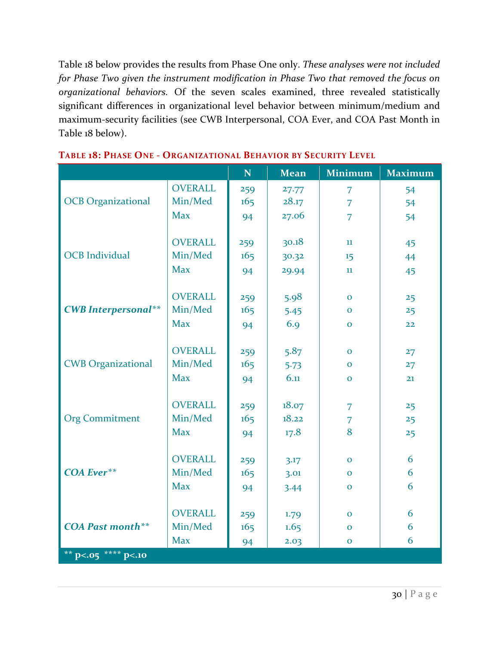Table 18 below provides the results from Phase One only. *These analyses were not included for Phase Two given the instrument modification in Phase Two that removed the focus on organizational behaviors.* Of the seven scales examined, three revealed statistically significant differences in organizational level behavior between minimum/medium and maximum-security facilities (see CWB Interpersonal, COA Ever, and COA Past Month in Table 18 below).

|                            |                | $\mathbf N$ | <b>Mean</b> | <b>Minimum</b> | <b>Maximum</b> |
|----------------------------|----------------|-------------|-------------|----------------|----------------|
|                            | <b>OVERALL</b> | 259         | 27.77       | $\overline{7}$ | 54             |
| <b>OCB</b> Organizational  | Min/Med        | 165         | 28.17       | $\overline{7}$ | 54             |
|                            | <b>Max</b>     | 94          | 27.06       | $\overline{7}$ | 54             |
|                            |                |             |             |                |                |
|                            | <b>OVERALL</b> | 259         | 30.18       | 11             | 45             |
| <b>OCB</b> Individual      | Min/Med        | 165         | 30.32       | 15             | 44             |
|                            | <b>Max</b>     | 94          | 29.94       | 11             | 45             |
|                            |                |             |             |                |                |
|                            | <b>OVERALL</b> | 259         | 5.98        | $\mathbf{O}$   | 25             |
| <b>CWB</b> Interpersonal** | Min/Med        | 165         | 5.45        | $\Omega$       | 25             |
|                            | <b>Max</b>     | 94          | 6.9         | $\mathbf{O}$   | 22             |
|                            |                |             |             |                |                |
|                            | <b>OVERALL</b> | 259         | 5.87        | $\mathbf 0$    | 27             |
| <b>CWB</b> Organizational  | Min/Med        | 165         | 5.73        | $\mathbf 0$    | 27             |
|                            | <b>Max</b>     | 94          | 6.11        | $\mathbf{O}$   | 21             |
|                            |                |             |             |                |                |
|                            | <b>OVERALL</b> | 259         | 18.07       | $\overline{7}$ | 25             |
| <b>Org Commitment</b>      | Min/Med        | 165         | 18.22       | $\overline{7}$ | 25             |
|                            | <b>Max</b>     | 94          | 17.8        | 8              | 25             |
|                            |                |             |             |                |                |
|                            | <b>OVERALL</b> | 259         | 3.17        | $\mathbf 0$    | 6              |
| <b>COA Ever**</b>          | Min/Med        | 165         | 3.01        | $\mathbf{O}$   | 6              |
|                            | <b>Max</b>     | 94          | 3.44        | $\mathbf{O}$   | 6              |
|                            |                |             |             |                |                |
|                            | <b>OVERALL</b> | 259         | 1.79        | $\Omega$       | 6              |
| <b>COA Past month**</b>    | Min/Med        | 165         | 1.65        | $\mathbf{O}$   | 6              |
|                            | <b>Max</b>     | 94          | 2.03        | $\mathbf 0$    | 6              |
| ** $p<0.05$ **** $p<0.10$  |                |             |             |                |                |

#### **TABLE 18: PHASE ONE - ORGANIZATIONAL BEHAVIOR BY SECURITY LEVEL**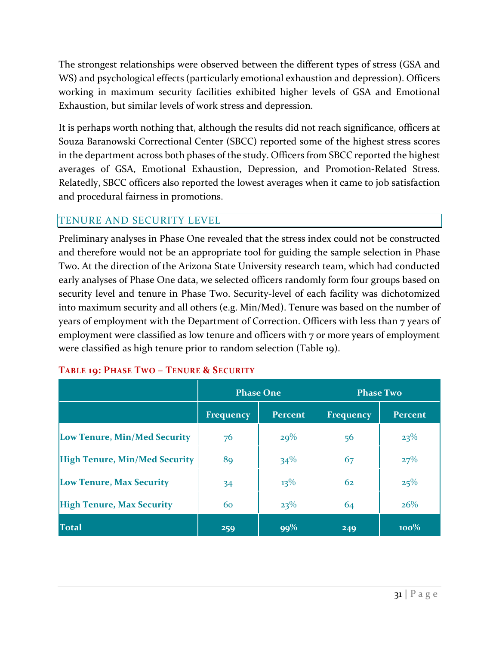The strongest relationships were observed between the different types of stress (GSA and WS) and psychological effects (particularly emotional exhaustion and depression). Officers working in maximum security facilities exhibited higher levels of GSA and Emotional Exhaustion, but similar levels of work stress and depression.

It is perhaps worth nothing that, although the results did not reach significance, officers at Souza Baranowski Correctional Center (SBCC) reported some of the highest stress scores in the department across both phases of the study. Officers from SBCC reported the highest averages of GSA, Emotional Exhaustion, Depression, and Promotion-Related Stress. Relatedly, SBCC officers also reported the lowest averages when it came to job satisfaction and procedural fairness in promotions.

## <span id="page-41-0"></span>TENURE AND SECURITY LEVEL

Preliminary analyses in Phase One revealed that the stress index could not be constructed and therefore would not be an appropriate tool for guiding the sample selection in Phase Two. At the direction of the Arizona State University research team, which had conducted early analyses of Phase One data, we selected officers randomly form four groups based on security level and tenure in Phase Two. Security-level of each facility was dichotomized into maximum security and all others (e.g. Min/Med). Tenure was based on the number of years of employment with the Department of Correction. Officers with less than 7 years of employment were classified as low tenure and officers with 7 or more years of employment were classified as high tenure prior to random selection (Table 19).

|                                      | <b>Phase One</b> |                | <b>Phase Two</b> |                |  |
|--------------------------------------|------------------|----------------|------------------|----------------|--|
|                                      | Frequency        | <b>Percent</b> | <b>Frequency</b> | <b>Percent</b> |  |
| Low Tenure, Min/Med Security         | 76               | 29%            | 56               | 23%            |  |
| <b>High Tenure, Min/Med Security</b> | 89               | 34%            | 67               | 27%            |  |
| <b>Low Tenure, Max Security</b>      | 34               | $13\%$         | 62               | 25%            |  |
| <b>High Tenure, Max Security</b>     | 60               | 23%            | 64               | $26\%$         |  |
| <b>Total</b>                         | 259              | 99%            | 249              | $100\%$        |  |

#### **TABLE 19: PHASE TWO – TENURE & SECURITY**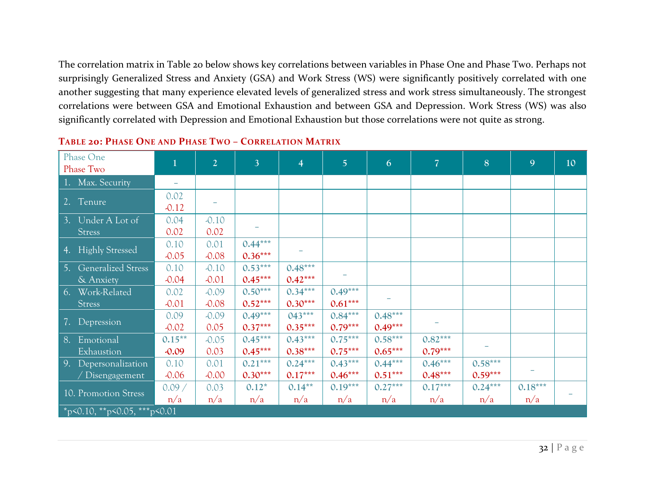The correlation matrix in Table 20 below shows key correlations between variables in Phase One and Phase Two. Perhaps not surprisingly Generalized Stress and Anxiety (GSA) and Work Stress (WS) were significantly positively correlated with one another suggesting that many experience elevated levels of generalized stress and work stress simultaneously. The strongest correlations were between GSA and Emotional Exhaustion and between GSA and Depression. Work Stress (WS) was also significantly correlated with Depression and Emotional Exhaustion but those correlations were not quite as strong.

| Phase One                                    | $\mathbf{1}$             | $\overline{2}$     | 3 <sup>1</sup>         | $\overline{4}$         | $\overline{5}$         | 6                      | $\overline{7}$         | 8                      | 9                | 10 |
|----------------------------------------------|--------------------------|--------------------|------------------------|------------------------|------------------------|------------------------|------------------------|------------------------|------------------|----|
| Phase Two                                    |                          |                    |                        |                        |                        |                        |                        |                        |                  |    |
| 1. Max. Security                             | $\overline{\phantom{0}}$ |                    |                        |                        |                        |                        |                        |                        |                  |    |
| 2. Tenure                                    | 0.02<br>$-0.12$          |                    |                        |                        |                        |                        |                        |                        |                  |    |
| 3. Under A Lot of<br><b>Stress</b>           | 0.04<br>0.02             | $-0.10$<br>0.02    |                        |                        |                        |                        |                        |                        |                  |    |
| <b>Highly Stressed</b><br>4.                 | 0.10<br>$-0.05$          | 0.01<br>$-0.08$    | $0.44***$<br>$0.36***$ |                        |                        |                        |                        |                        |                  |    |
| <b>Generalized Stress</b><br>5.<br>& Anxiety | 0.10<br>$-0.04$          | $-0.10$<br>$-0.01$ | $0.53***$<br>$0.45***$ | $0.48***$<br>$0.42***$ |                        |                        |                        |                        |                  |    |
| Work-Related<br>6.<br><b>Stress</b>          | 0.02<br>$-0.01$          | $-0.09$<br>$-0.08$ | $0.50***$<br>$0.52***$ | $0.34***$<br>$0.30***$ | $0.49***$<br>$0.61***$ |                        |                        |                        |                  |    |
| Depression<br>7.                             | 0.09<br>$-0.02$          | $-0.09$<br>0.05    | $0.49***$<br>$0.37***$ | $043***$<br>$0.35***$  | $0.84***$<br>$0.79***$ | $0.48***$<br>$0.49***$ |                        |                        |                  |    |
| Emotional<br>8.<br>Exhaustion                | $0.15***$<br>$-0.09$     | $-0.05$<br>0.03    | $0.45***$<br>$0.45***$ | $0.43***$<br>$0.38***$ | $0.75***$<br>$0.75***$ | $0.58***$<br>$0.65***$ | $0.82***$<br>$0.79***$ |                        |                  |    |
| 9.<br>Depersonalization<br>Disengagement     | 0.10<br>$-0.06$          | 0.01<br>$-0.00$    | $0.21***$<br>$0.30***$ | $0.24***$<br>$0.17***$ | $0.43***$<br>$0.46***$ | $0.44***$<br>$0.51***$ | $0.46***$<br>$0.48***$ | $0.58***$<br>$0.59***$ |                  |    |
| 10. Promotion Stress                         | 0.09/<br>n/a             | 0.03<br>n/a        | $0.12*$<br>n/a         | $0.14**$<br>n/a        | $0.19***$<br>n/a       | $0.27***$<br>n/a       | $0.17***$<br>n/a       | $0.24***$<br>n/a       | $0.18***$<br>n/a |    |
| *p<0.10, **p<0.05, ***p<0.01                 |                          |                    |                        |                        |                        |                        |                        |                        |                  |    |

#### **TABLE 20: PHASE ONE AND PHASE TWO – CORRELATION MATRIX**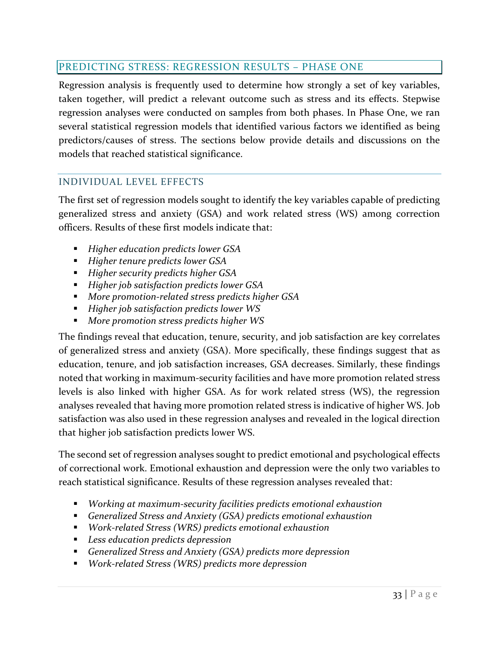## <span id="page-43-0"></span>PREDICTING STRESS: REGRESSION RESULTS – PHASE ONE

Regression analysis is frequently used to determine how strongly a set of key variables, taken together, will predict a relevant outcome such as stress and its effects. Stepwise regression analyses were conducted on samples from both phases. In Phase One, we ran several statistical regression models that identified various factors we identified as being predictors/causes of stress. The sections below provide details and discussions on the models that reached statistical significance.

## <span id="page-43-1"></span>INDIVIDUAL LEVEL EFFECTS

The first set of regression models sought to identify the key variables capable of predicting generalized stress and anxiety (GSA) and work related stress (WS) among correction officers. Results of these first models indicate that:

- *Higher education predicts lower GSA*
- *Higher tenure predicts lower GSA*
- *Higher security predicts higher GSA*
- *Higher job satisfaction predicts lower GSA*
- *More promotion-related stress predicts higher GSA*
- *Higher job satisfaction predicts lower WS*
- *More promotion stress predicts higher WS*

The findings reveal that education, tenure, security, and job satisfaction are key correlates of generalized stress and anxiety (GSA). More specifically, these findings suggest that as education, tenure, and job satisfaction increases, GSA decreases. Similarly, these findings noted that working in maximum-security facilities and have more promotion related stress levels is also linked with higher GSA. As for work related stress (WS), the regression analyses revealed that having more promotion related stress is indicative of higher WS. Job satisfaction was also used in these regression analyses and revealed in the logical direction that higher job satisfaction predicts lower WS.

The second set of regression analyses sought to predict emotional and psychological effects of correctional work. Emotional exhaustion and depression were the only two variables to reach statistical significance. Results of these regression analyses revealed that:

- *Working at maximum-security facilities predicts emotional exhaustion*
- *Generalized Stress and Anxiety (GSA) predicts emotional exhaustion*
- *Work-related Stress (WRS) predicts emotional exhaustion*
- *Less education predicts depression*
- *Generalized Stress and Anxiety (GSA) predicts more depression*
- *Work-related Stress (WRS) predicts more depression*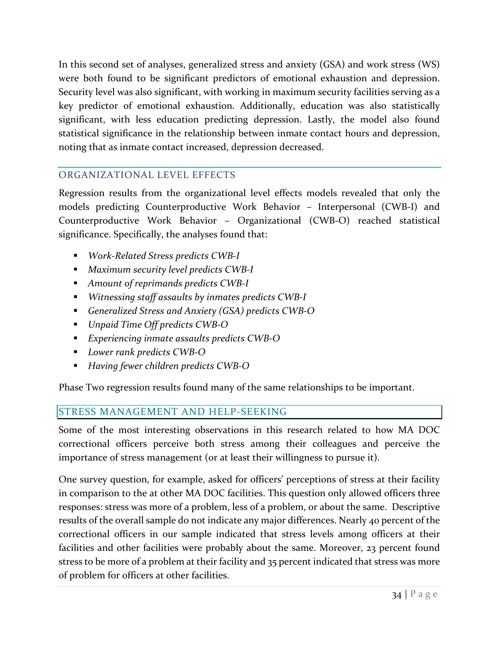In this second set of analyses, generalized stress and anxiety (GSA) and work stress (WS) were both found to be significant predictors of emotional exhaustion and depression. Security level was also significant, with working in maximum security facilities serving as a key predictor of emotional exhaustion. Additionally, education was also statistically significant, with less education predicting depression. Lastly, the model also found statistical significance in the relationship between inmate contact hours and depression, noting that as inmate contact increased, depression decreased.

## <span id="page-44-0"></span>ORGANIZATIONAL LEVEL EFFECTS

Regression results from the organizational level effects models revealed that only the models predicting Counterproductive Work Behavior – Interpersonal (CWB-I) and Counterproductive Work Behavior – Organizational (CWB-O) reached statistical significance. Specifically, the analyses found that:

- *Work-Related Stress predicts CWB-I*
- *Maximum security level predicts CWB-I*
- *Amount of reprimands predicts CWB-I*
- *Witnessing staff assaults by inmates predicts CWB-I*
- *Generalized Stress and Anxiety (GSA) predicts CWB-O*
- *Unpaid Time Off predicts CWB-O*
- *Experiencing inmate assaults predicts CWB-O*
- *Lower rank predicts CWB-O*
- *Having fewer children predicts CWB-O*

Phase Two regression results found many of the same relationships to be important.

## <span id="page-44-1"></span>STRESS MANAGEMENT AND HELP-SEEKING

Some of the most interesting observations in this research related to how MA DOC correctional officers perceive both stress among their colleagues and perceive the importance of stress management (or at least their willingness to pursue it).

One survey question, for example, asked for officers' perceptions of stress at their facility in comparison to the at other MA DOC facilities. This question only allowed officers three responses: stress was more of a problem, less of a problem, or about the same. Descriptive results of the overall sample do not indicate any major differences. Nearly 40 percent of the correctional officers in our sample indicated that stress levels among officers at their facilities and other facilities were probably about the same. Moreover, 23 percent found stress to be more of a problem at their facility and 35 percent indicated that stress was more of problem for officers at other facilities.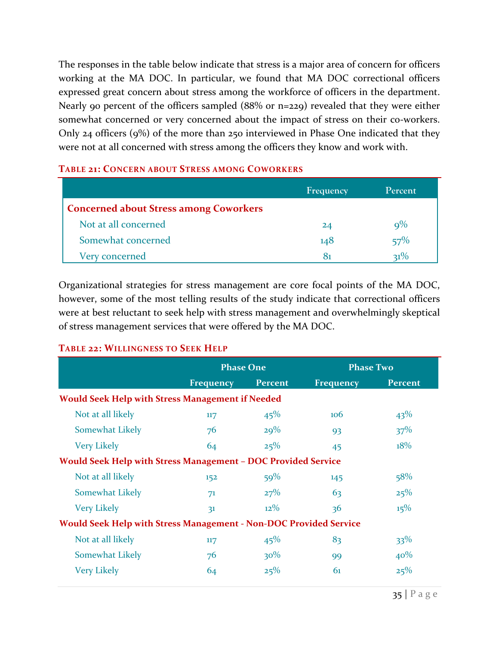The responses in the table below indicate that stress is a major area of concern for officers working at the MA DOC. In particular, we found that MA DOC correctional officers expressed great concern about stress among the workforce of officers in the department. Nearly 90 percent of the officers sampled (88% or n=229) revealed that they were either somewhat concerned or very concerned about the impact of stress on their co-workers. Only 24 officers (9%) of the more than 250 interviewed in Phase One indicated that they were not at all concerned with stress among the officers they know and work with.

#### **TABLE 21: CONCERN ABOUT STRESS AMONG COWORKERS**

|                                               | Frequency | Percent   |
|-----------------------------------------------|-----------|-----------|
| <b>Concerned about Stress among Coworkers</b> |           |           |
| Not at all concerned                          | 24        | $\rm Q\%$ |
| Somewhat concerned                            | 148       | 57%       |
| Very concerned                                | 81        | $21\%$    |

Organizational strategies for stress management are core focal points of the MA DOC, however, some of the most telling results of the study indicate that correctional officers were at best reluctant to seek help with stress management and overwhelmingly skeptical of stress management services that were offered by the MA DOC.

#### **TABLE 22: WILLINGNESS TO SEEK HELP**

|                                                                          | <b>Phase One</b> |                | <b>Phase Two</b> |                |  |
|--------------------------------------------------------------------------|------------------|----------------|------------------|----------------|--|
|                                                                          | <b>Frequency</b> | <b>Percent</b> | <b>Frequency</b> | <b>Percent</b> |  |
| <b>Would Seek Help with Stress Management if Needed</b>                  |                  |                |                  |                |  |
| Not at all likely                                                        | 117              | 45%            | 106              | 43%            |  |
| Somewhat Likely                                                          | 76               | 29%            | 93               | 37%            |  |
| <b>Very Likely</b>                                                       | 64               | 25%            | 45               | 18%            |  |
| <b>Would Seek Help with Stress Management - DOC Provided Service</b>     |                  |                |                  |                |  |
| Not at all likely                                                        | 152              | 59%            | 145              | 58%            |  |
| Somewhat Likely                                                          | 71               | 27%            | 63               | 25%            |  |
| <b>Very Likely</b>                                                       | 31               | $12\%$         | 36               | $15\%$         |  |
| <b>Would Seek Help with Stress Management - Non-DOC Provided Service</b> |                  |                |                  |                |  |
| Not at all likely                                                        | 117              | 45%            | 83               | $33\%$         |  |
| Somewhat Likely                                                          | 76               | $30\%$         | 99               | 40%            |  |
| <b>Very Likely</b>                                                       | 64               | 25%            | 61               | 25%            |  |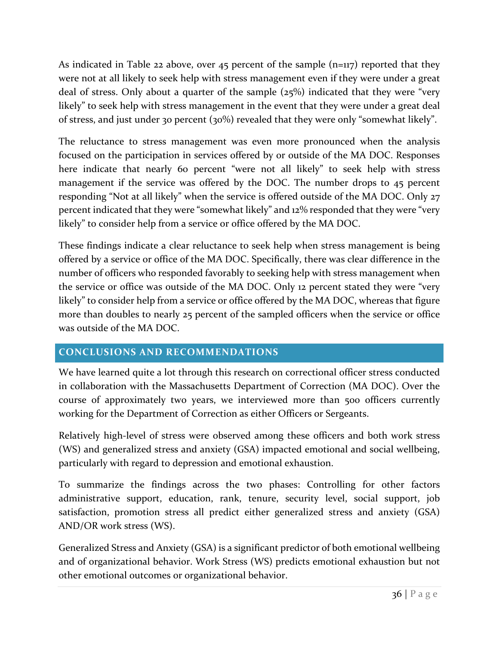As indicated in Table 22 above, over 45 percent of the sample  $(n=117)$  reported that they were not at all likely to seek help with stress management even if they were under a great deal of stress. Only about a quarter of the sample (25%) indicated that they were "very likely" to seek help with stress management in the event that they were under a great deal of stress, and just under 30 percent (30%) revealed that they were only "somewhat likely".

The reluctance to stress management was even more pronounced when the analysis focused on the participation in services offered by or outside of the MA DOC. Responses here indicate that nearly 60 percent "were not all likely" to seek help with stress management if the service was offered by the DOC. The number drops to 45 percent responding "Not at all likely" when the service is offered outside of the MA DOC. Only 27 percent indicated that they were "somewhat likely" and 12% responded that they were "very likely" to consider help from a service or office offered by the MA DOC.

These findings indicate a clear reluctance to seek help when stress management is being offered by a service or office of the MA DOC. Specifically, there was clear difference in the number of officers who responded favorably to seeking help with stress management when the service or office was outside of the MA DOC. Only 12 percent stated they were "very likely" to consider help from a service or office offered by the MA DOC, whereas that figure more than doubles to nearly 25 percent of the sampled officers when the service or office was outside of the MA DOC.

## <span id="page-46-0"></span>**CONCLUSIONS AND RECOMMENDATIONS**

We have learned quite a lot through this research on correctional officer stress conducted in collaboration with the Massachusetts Department of Correction (MA DOC). Over the course of approximately two years, we interviewed more than 500 officers currently working for the Department of Correction as either Officers or Sergeants.

Relatively high-level of stress were observed among these officers and both work stress (WS) and generalized stress and anxiety (GSA) impacted emotional and social wellbeing, particularly with regard to depression and emotional exhaustion.

To summarize the findings across the two phases: Controlling for other factors administrative support, education, rank, tenure, security level, social support, job satisfaction, promotion stress all predict either generalized stress and anxiety (GSA) AND/OR work stress (WS).

Generalized Stress and Anxiety (GSA) is a significant predictor of both emotional wellbeing and of organizational behavior. Work Stress (WS) predicts emotional exhaustion but not other emotional outcomes or organizational behavior.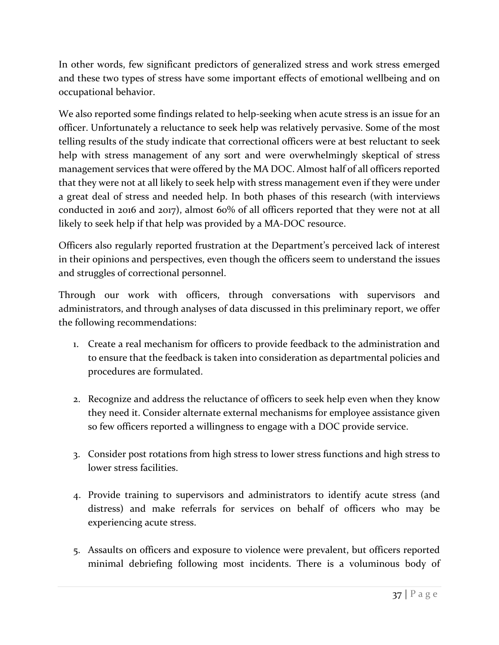In other words, few significant predictors of generalized stress and work stress emerged and these two types of stress have some important effects of emotional wellbeing and on occupational behavior.

We also reported some findings related to help-seeking when acute stress is an issue for an officer. Unfortunately a reluctance to seek help was relatively pervasive. Some of the most telling results of the study indicate that correctional officers were at best reluctant to seek help with stress management of any sort and were overwhelmingly skeptical of stress management services that were offered by the MA DOC. Almost half of all officers reported that they were not at all likely to seek help with stress management even if they were under a great deal of stress and needed help. In both phases of this research (with interviews conducted in 2016 and 2017), almost 60% of all officers reported that they were not at all likely to seek help if that help was provided by a MA-DOC resource.

Officers also regularly reported frustration at the Department's perceived lack of interest in their opinions and perspectives, even though the officers seem to understand the issues and struggles of correctional personnel.

Through our work with officers, through conversations with supervisors and administrators, and through analyses of data discussed in this preliminary report, we offer the following recommendations:

- 1. Create a real mechanism for officers to provide feedback to the administration and to ensure that the feedback is taken into consideration as departmental policies and procedures are formulated.
- 2. Recognize and address the reluctance of officers to seek help even when they know they need it. Consider alternate external mechanisms for employee assistance given so few officers reported a willingness to engage with a DOC provide service.
- 3. Consider post rotations from high stress to lower stress functions and high stress to lower stress facilities.
- 4. Provide training to supervisors and administrators to identify acute stress (and distress) and make referrals for services on behalf of officers who may be experiencing acute stress.
- 5. Assaults on officers and exposure to violence were prevalent, but officers reported minimal debriefing following most incidents. There is a voluminous body of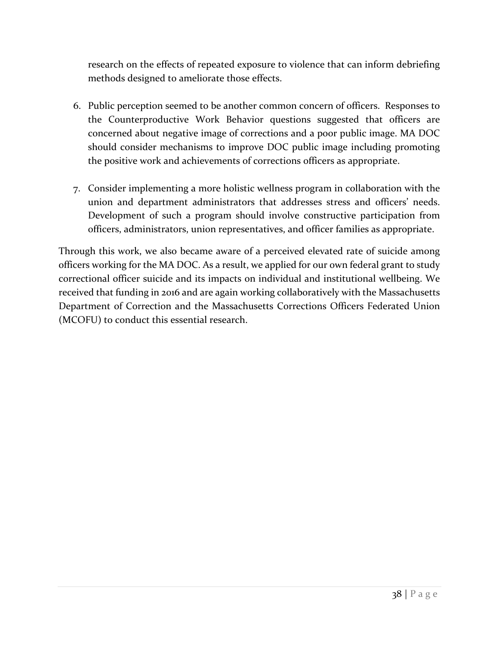research on the effects of repeated exposure to violence that can inform debriefing methods designed to ameliorate those effects.

- 6. Public perception seemed to be another common concern of officers. Responses to the Counterproductive Work Behavior questions suggested that officers are concerned about negative image of corrections and a poor public image. MA DOC should consider mechanisms to improve DOC public image including promoting the positive work and achievements of corrections officers as appropriate.
- 7. Consider implementing a more holistic wellness program in collaboration with the union and department administrators that addresses stress and officers' needs. Development of such a program should involve constructive participation from officers, administrators, union representatives, and officer families as appropriate.

Through this work, we also became aware of a perceived elevated rate of suicide among officers working for the MA DOC. As a result, we applied for our own federal grant to study correctional officer suicide and its impacts on individual and institutional wellbeing. We received that funding in 2016 and are again working collaboratively with the Massachusetts Department of Correction and the Massachusetts Corrections Officers Federated Union (MCOFU) to conduct this essential research.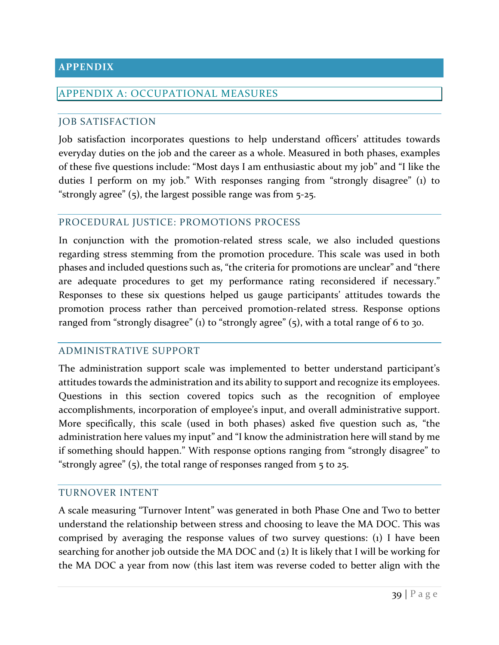#### <span id="page-49-0"></span>**APPENDIX**

#### <span id="page-49-1"></span>APPENDIX A: OCCUPATIONAL MEASURES

#### <span id="page-49-2"></span>JOB SATISFACTION

Job satisfaction incorporates questions to help understand officers' attitudes towards everyday duties on the job and the career as a whole. Measured in both phases, examples of these five questions include: "Most days I am enthusiastic about my job" and "I like the duties I perform on my job." With responses ranging from "strongly disagree" (1) to "strongly agree" (5), the largest possible range was from 5-25.

### <span id="page-49-3"></span>PROCEDURAL JUSTICE: PROMOTIONS PROCESS

In conjunction with the promotion-related stress scale, we also included questions regarding stress stemming from the promotion procedure. This scale was used in both phases and included questions such as, "the criteria for promotions are unclear" and "there are adequate procedures to get my performance rating reconsidered if necessary." Responses to these six questions helped us gauge participants' attitudes towards the promotion process rather than perceived promotion-related stress. Response options ranged from "strongly disagree" (1) to "strongly agree" (5), with a total range of 6 to 30.

#### <span id="page-49-4"></span>ADMINISTRATIVE SUPPORT

The administration support scale was implemented to better understand participant's attitudes towards the administration and its ability to support and recognize its employees. Questions in this section covered topics such as the recognition of employee accomplishments, incorporation of employee's input, and overall administrative support. More specifically, this scale (used in both phases) asked five question such as, "the administration here values my input" and "I know the administration here will stand by me if something should happen." With response options ranging from "strongly disagree" to "strongly agree"  $(5)$ , the total range of responses ranged from  $5$  to 25.

#### <span id="page-49-5"></span>TURNOVER INTENT

A scale measuring "Turnover Intent" was generated in both Phase One and Two to better understand the relationship between stress and choosing to leave the MA DOC. This was comprised by averaging the response values of two survey questions: (1) I have been searching for another job outside the MA DOC and (2) It is likely that I will be working for the MA DOC a year from now (this last item was reverse coded to better align with the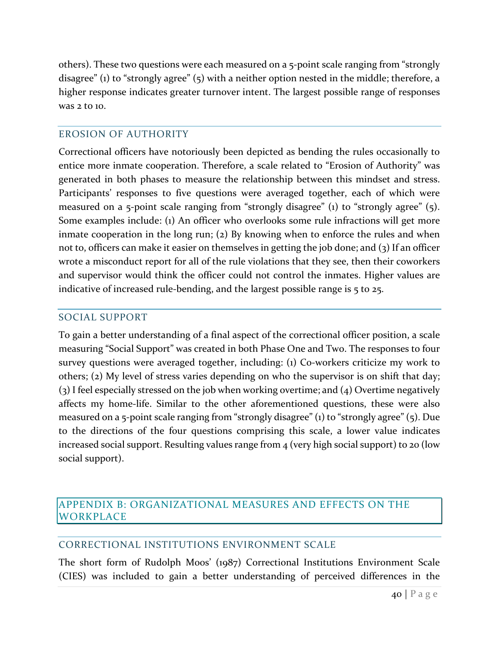others). These two questions were each measured on a 5-point scale ranging from "strongly disagree" (1) to "strongly agree" (5) with a neither option nested in the middle; therefore, a higher response indicates greater turnover intent. The largest possible range of responses was 2 to 10.

### <span id="page-50-0"></span>EROSION OF AUTHORITY

Correctional officers have notoriously been depicted as bending the rules occasionally to entice more inmate cooperation. Therefore, a scale related to "Erosion of Authority" was generated in both phases to measure the relationship between this mindset and stress. Participants' responses to five questions were averaged together, each of which were measured on a 5-point scale ranging from "strongly disagree" (1) to "strongly agree" (5). Some examples include: (1) An officer who overlooks some rule infractions will get more inmate cooperation in the long run; (2) By knowing when to enforce the rules and when not to, officers can make it easier on themselves in getting the job done; and (3) If an officer wrote a misconduct report for all of the rule violations that they see, then their coworkers and supervisor would think the officer could not control the inmates. Higher values are indicative of increased rule-bending, and the largest possible range is 5 to 25.

## <span id="page-50-1"></span>SOCIAL SUPPORT

To gain a better understanding of a final aspect of the correctional officer position, a scale measuring "Social Support" was created in both Phase One and Two. The responses to four survey questions were averaged together, including: (1) Co-workers criticize my work to others; (2) My level of stress varies depending on who the supervisor is on shift that day; (3) I feel especially stressed on the job when working overtime; and (4) Overtime negatively affects my home-life. Similar to the other aforementioned questions, these were also measured on a 5-point scale ranging from "strongly disagree" (1) to "strongly agree" (5). Due to the directions of the four questions comprising this scale, a lower value indicates increased social support. Resulting values range from 4 (very high social support) to 20 (low social support).

## <span id="page-50-2"></span>APPENDIX B: ORGANIZATIONAL MEASURES AND EFFECTS ON THE WORKPLACE

## <span id="page-50-3"></span>CORRECTIONAL INSTITUTIONS ENVIRONMENT SCALE

The short form of Rudolph Moos' (1987) Correctional Institutions Environment Scale (CIES) was included to gain a better understanding of perceived differences in the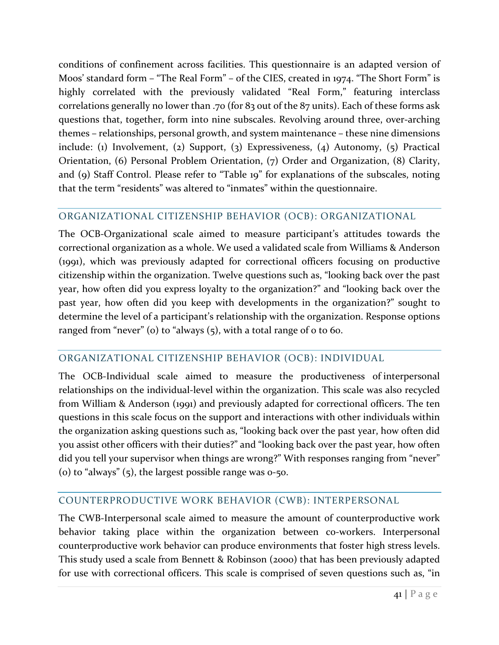conditions of confinement across facilities. This questionnaire is an adapted version of Moos' standard form – "The Real Form" – of the CIES, created in 1974. "The Short Form" is highly correlated with the previously validated "Real Form," featuring interclass correlations generally no lower than .70 (for 83 out of the 87 units). Each of these forms ask questions that, together, form into nine subscales. Revolving around three, over-arching themes – relationships, personal growth, and system maintenance – these nine dimensions include: (1) Involvement, (2) Support, (3) Expressiveness, (4) Autonomy, (5) Practical Orientation, (6) Personal Problem Orientation, (7) Order and Organization, (8) Clarity, and (9) Staff Control. Please refer to "Table 19" for explanations of the subscales, noting that the term "residents" was altered to "inmates" within the questionnaire.

## <span id="page-51-0"></span>ORGANIZATIONAL CITIZENSHIP BEHAVIOR (OCB): ORGANIZATIONAL

The OCB-Organizational scale aimed to measure participant's attitudes towards the correctional organization as a whole. We used a validated scale from Williams & Anderson (1991), which was previously adapted for correctional officers focusing on productive citizenship within the organization. Twelve questions such as, "looking back over the past year, how often did you express loyalty to the organization?" and "looking back over the past year, how often did you keep with developments in the organization?" sought to determine the level of a participant's relationship with the organization. Response options ranged from "never" (o) to "always  $(5)$ , with a total range of  $\sigma$  to 60.

## <span id="page-51-1"></span>ORGANIZATIONAL CITIZENSHIP BEHAVIOR (OCB): INDIVIDUAL

The OCB-Individual scale aimed to measure the productiveness of interpersonal relationships on the individual-level within the organization. This scale was also recycled from William & Anderson (1991) and previously adapted for correctional officers. The ten questions in this scale focus on the support and interactions with other individuals within the organization asking questions such as, "looking back over the past year, how often did you assist other officers with their duties?" and "looking back over the past year, how often did you tell your supervisor when things are wrong?" With responses ranging from "never" (o) to "always"  $(5)$ , the largest possible range was  $0-50$ .

## <span id="page-51-2"></span>COUNTERPRODUCTIVE WORK BEHAVIOR (CWB): INTERPERSONAL

The CWB-Interpersonal scale aimed to measure the amount of counterproductive work behavior taking place within the organization between co-workers. Interpersonal counterproductive work behavior can produce environments that foster high stress levels. This study used a scale from Bennett & Robinson (2000) that has been previously adapted for use with correctional officers. This scale is comprised of seven questions such as, "in